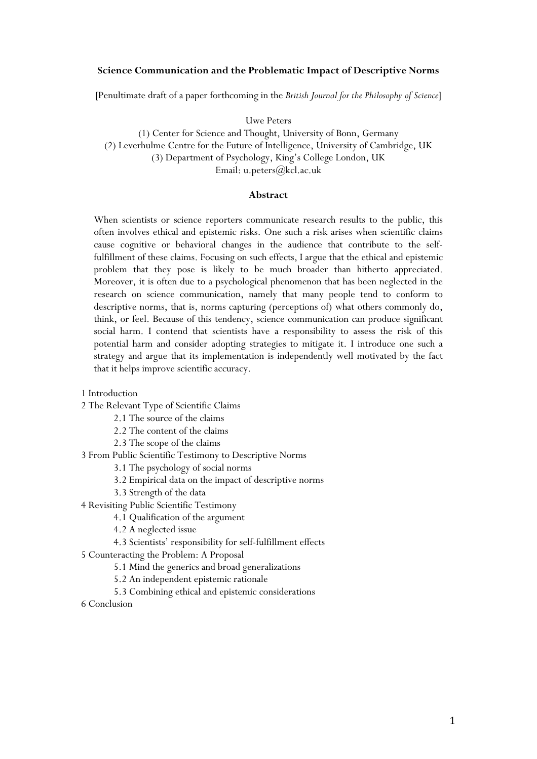### **Science Communication and the Problematic Impact of Descriptive Norms**

[Penultimate draft of a paper forthcoming in the *British Journal for the Philosophy of Science*]

Uwe Peters

(1) Center for Science and Thought, University of Bonn, Germany (2) Leverhulme Centre for the Future of Intelligence, University of Cambridge, UK (3) Department of Psychology, King's College London, UK Email: u.peters@kcl.ac.uk

#### **Abstract**

When scientists or science reporters communicate research results to the public, this often involves ethical and epistemic risks. One such a risk arises when scientific claims cause cognitive or behavioral changes in the audience that contribute to the selffulfillment of these claims. Focusing on such effects, I argue that the ethical and epistemic problem that they pose is likely to be much broader than hitherto appreciated. Moreover, it is often due to a psychological phenomenon that has been neglected in the research on science communication, namely that many people tend to conform to descriptive norms, that is, norms capturing (perceptions of) what others commonly do, think, or feel. Because of this tendency, science communication can produce significant social harm. I contend that scientists have a responsibility to assess the risk of this potential harm and consider adopting strategies to mitigate it. I introduce one such a strategy and argue that its implementation is independently well motivated by the fact that it helps improve scientific accuracy.

- 1 Introduction
- 2 The Relevant Type of Scientific Claims
	- 2.1 The source of the claims
	- 2.2 The content of the claims
	- 2.3 The scope of the claims

3 From Public Scientific Testimony to Descriptive Norms

- 3.1 The psychology of social norms
- 3.2 Empirical data on the impact of descriptive norms
- 3.3 Strength of the data
- 4 Revisiting Public Scientific Testimony
	- 4.1 Qualification of the argument
		- 4.2 A neglected issue
	- 4.3 Scientists' responsibility for self-fulfillment effects
- 5 Counteracting the Problem: A Proposal
	- 5.1 Mind the generics and broad generalizations
	- 5.2 An independent epistemic rationale
	- 5.3 Combining ethical and epistemic considerations
- 6 Conclusion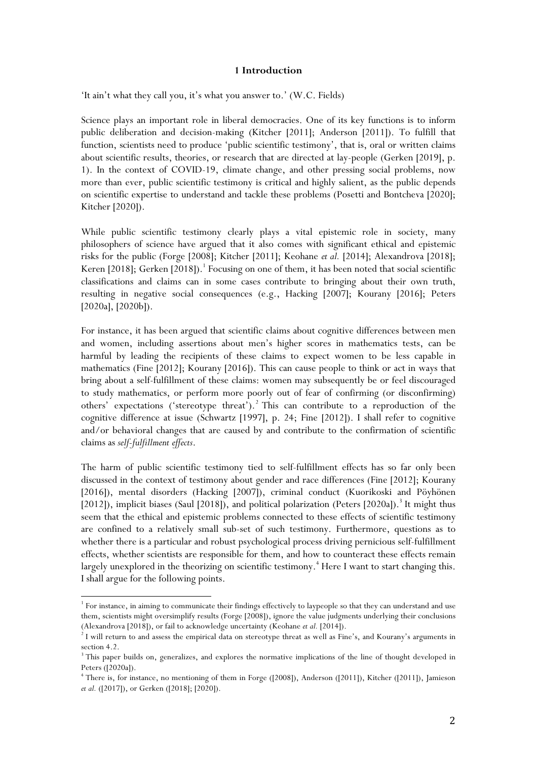## **1 Introduction**

'It ain't what they call you, it's what you answer to.' (W.C. Fields)

Science plays an important role in liberal democracies. One of its key functions is to inform public deliberation and decision-making (Kitcher [2011]; Anderson [2011]). To fulfill that function, scientists need to produce 'public scientific testimony', that is, oral or written claims about scientific results, theories, or research that are directed at lay-people (Gerken [2019], p. 1). In the context of COVID-19, climate change, and other pressing social problems, now more than ever, public scientific testimony is critical and highly salient, as the public depends on scientific expertise to understand and tackle these problems (Posetti and Bontcheva [2020]; Kitcher [2020]).

While public scientific testimony clearly plays a vital epistemic role in society, many philosophers of science have argued that it also comes with significant ethical and epistemic risks for the public (Forge [2008]; Kitcher [2011]; Keohane *et al.* [2014]; Alexandrova [2018]; Keren [2018]; Gerken [2018]).<sup>1</sup> Focusing on one of them, it has been noted that social scientific classifications and claims can in some cases contribute to bringing about their own truth, resulting in negative social consequences (e.g., Hacking [2007]; Kourany [2016]; Peters [2020a], [2020b]).

For instance, it has been argued that scientific claims about cognitive differences between men and women, including assertions about men's higher scores in mathematics tests, can be harmful by leading the recipients of these claims to expect women to be less capable in mathematics (Fine [2012]; Kourany [2016]). This can cause people to think or act in ways that bring about a self-fulfillment of these claims: women may subsequently be or feel discouraged to study mathematics, or perform more poorly out of fear of confirming (or disconfirming) others' expectations ('stereotype threat'). <sup>2</sup> This can contribute to a reproduction of the cognitive difference at issue (Schwartz [1997], p. 24; Fine [2012]). I shall refer to cognitive and/or behavioral changes that are caused by and contribute to the confirmation of scientific claims as *self-fulfillment effects*.

The harm of public scientific testimony tied to self-fulfillment effects has so far only been discussed in the context of testimony about gender and race differences (Fine [2012]; Kourany [2016]), mental disorders (Hacking [2007]), criminal conduct (Kuorikoski and Pöyhönen [2012]), implicit biases (Saul [2018]), and political polarization (Peters [2020a]).<sup>3</sup> It might thus seem that the ethical and epistemic problems connected to these effects of scientific testimony are confined to a relatively small sub-set of such testimony. Furthermore, questions as to whether there is a particular and robust psychological process driving pernicious self-fulfillment effects, whether scientists are responsible for them, and how to counteract these effects remain largely unexplored in the theorizing on scientific testimony. <sup>4</sup> Here I want to start changing this. I shall argue for the following points.

<sup>&</sup>lt;sup>1</sup> For instance, in aiming to communicate their findings effectively to laypeople so that they can understand and use them, scientists might oversimplify results (Forge [2008]), ignore the value judgments underlying their conclusions (Alexandrova [2018]), or fail to acknowledge uncertainty (Keohane *et al.* [2014]).

<sup>&</sup>lt;sup>2</sup> I will return to and assess the empirical data on stereotype threat as well as Fine's, and Kourany's arguments in section 4.2.

<sup>&</sup>lt;sup>3</sup> This paper builds on, generalizes, and explores the normative implications of the line of thought developed in Peters ([2020a]).

<sup>4</sup> There is, for instance, no mentioning of them in Forge ([2008]), Anderson ([2011]), Kitcher ([2011]), Jamieson *et al.* ([2017]), or Gerken ([2018]; [2020]).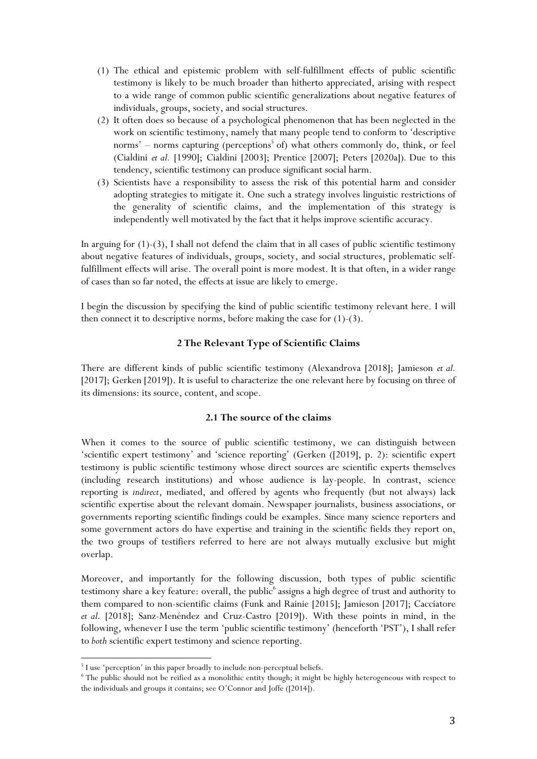- (1) The ethical and epistemic problem with self-fulfillment effects of public scientific testimony is likely to be much broader than hitherto appreciated, arising with respect to a wide range of common public scientific generalizations about negative features of individuals, groups, society, and social structures.
- (2) It often does so because of a psychological phenomenon that has been neglected in the work on scientific testimony, namely that many people tend to conform to 'descriptive norms' – norms capturing (perceptions<sup>5</sup> of) what others commonly do, think, or feel (Cialdini *et al.* [1990]; Cialdini [2003]; Prentice [2007]; Peters [2020a])*.* Due to this tendency, scientific testimony can produce significant social harm.
- (3) Scientists have a responsibility to assess the risk of this potential harm and consider adopting strategies to mitigate it. One such a strategy involves linguistic restrictions of the generality of scientific claims, and the implementation of this strategy is independently well motivated by the fact that it helps improve scientific accuracy.

In arguing for  $(1)-(3)$ , I shall not defend the claim that in all cases of public scientific testimony about negative features of individuals, groups, society, and social structures, problematic selffulfillment effects will arise. The overall point is more modest. It is that often, in a wider range of cases than so far noted, the effects at issue are likely to emerge.

I begin the discussion by specifying the kind of public scientific testimony relevant here. I will then connect it to descriptive norms, before making the case for (1)-(3).

# **2 The Relevant Type of Scientific Claims**

There are different kinds of public scientific testimony (Alexandrova [2018]; Jamieson *et al.* [2017]; Gerken [2019]). It is useful to characterize the one relevant here by focusing on three of its dimensions: its source, content, and scope.

# **2.1 The source of the claims**

When it comes to the source of public scientific testimony, we can distinguish between 'scientific expert testimony' and 'science reporting' (Gerken ([2019], p. 2): scientific expert testimony is public scientific testimony whose direct sources are scientific experts themselves (including research institutions) and whose audience is lay-people. In contrast, science reporting is *indirect*, mediated, and offered by agents who frequently (but not always) lack scientific expertise about the relevant domain. Newspaper journalists, business associations, or governments reporting scientific findings could be examples. Since many science reporters and some government actors do have expertise and training in the scientific fields they report on, the two groups of testifiers referred to here are not always mutually exclusive but might overlap.

Moreover, and importantly for the following discussion, both types of public scientific testimony share a key feature: overall, the public<sup>6</sup> assigns a high degree of trust and authority to them compared to non-scientific claims (Funk and Rainie [2015]; Jamieson [2017]; Cacciatore *et al.* [2018]; Sanz-Menéndez and Cruz-Castro [2019]). With these points in mind, in the following, whenever I use the term 'public scientific testimony' (henceforth 'PST'), I shall refer to *both* scientific expert testimony and science reporting.

<sup>&</sup>lt;sup>5</sup> I use 'perception' in this paper broadly to include non-perceptual beliefs.

<sup>&</sup>lt;sup>6</sup> The public should not be reified as a monolithic entity though; it might be highly heterogeneous with respect to the individuals and groups it contains; see O'Connor and Joffe ([2014]).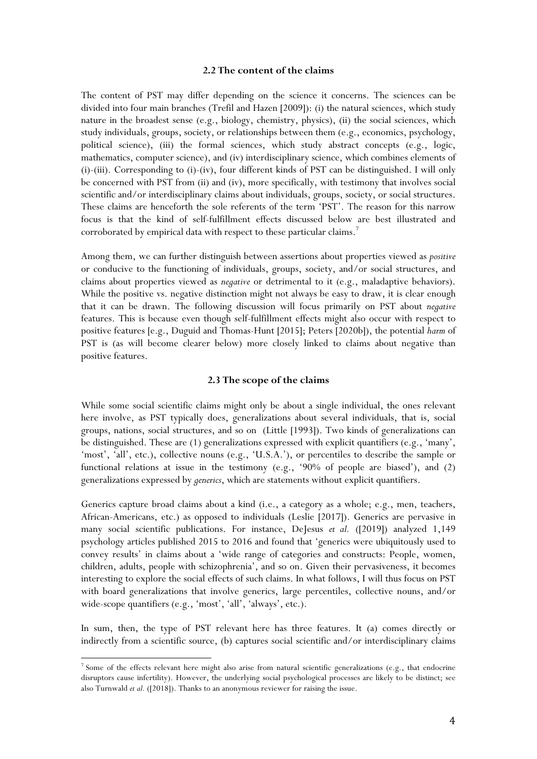#### **2.2 The content of the claims**

The content of PST may differ depending on the science it concerns. The sciences can be divided into four main branches (Trefil and Hazen [2009]): (i) the natural sciences, which study nature in the broadest sense (e.g., biology, chemistry, physics), (ii) the social sciences, which study individuals, groups, society, or relationships between them (e.g., economics, psychology, political science), (iii) the formal sciences, which study abstract concepts (e.g., logic, mathematics, computer science), and (iv) interdisciplinary science, which combines elements of (i)-(iii). Corresponding to (i)-(iv), four different kinds of PST can be distinguished. I will only be concerned with PST from (ii) and (iv), more specifically, with testimony that involves social scientific and/or interdisciplinary claims about individuals, groups, society, or social structures. These claims are henceforth the sole referents of the term 'PST'. The reason for this narrow focus is that the kind of self-fulfillment effects discussed below are best illustrated and corroborated by empirical data with respect to these particular claims.<sup>7</sup>

Among them, we can further distinguish between assertions about properties viewed as *positive* or conducive to the functioning of individuals, groups, society, and/or social structures, and claims about properties viewed as *negative* or detrimental to it (e.g., maladaptive behaviors). While the positive vs. negative distinction might not always be easy to draw, it is clear enough that it can be drawn. The following discussion will focus primarily on PST about *negative*  features. This is because even though self-fulfillment effects might also occur with respect to positive features [e.g., Duguid and Thomas-Hunt [2015]; Peters [2020b]), the potential *harm* of PST is (as will become clearer below) more closely linked to claims about negative than positive features.

## **2.3 The scope of the claims**

While some social scientific claims might only be about a single individual, the ones relevant here involve, as PST typically does, generalizations about several individuals, that is, social groups, nations, social structures, and so on (Little [1993]). Two kinds of generalizations can be distinguished. These are (1) generalizations expressed with explicit quantifiers (e.g., 'many', 'most', 'all', etc.), collective nouns (e.g., 'U.S.A.'), or percentiles to describe the sample or functional relations at issue in the testimony (e.g., '90% of people are biased'), and (2) generalizations expressed by *generics*, which are statements without explicit quantifiers.

Generics capture broad claims about a kind (i.e., a category as a whole; e.g., men, teachers, African-Americans, etc.) as opposed to individuals (Leslie [2017]). Generics are pervasive in many social scientific publications. For instance, DeJesus *et al.* ([2019]) analyzed 1,149 psychology articles published 2015 to 2016 and found that 'generics were ubiquitously used to convey results' in claims about a 'wide range of categories and constructs: People, women, children, adults, people with schizophrenia', and so on. Given their pervasiveness, it becomes interesting to explore the social effects of such claims. In what follows, I will thus focus on PST with board generalizations that involve generics, large percentiles, collective nouns, and/or wide-scope quantifiers (e.g., 'most', 'all', 'always', etc.).

In sum, then, the type of PST relevant here has three features. It (a) comes directly or indirectly from a scientific source, (b) captures social scientific and/or interdisciplinary claims

<sup>&</sup>lt;sup>7</sup> Some of the effects relevant here might also arise from natural scientific generalizations (e.g., that endocrine disruptors cause infertility). However, the underlying social psychological processes are likely to be distinct; see also Turnwald *et al.* ([2018]). Thanks to an anonymous reviewer for raising the issue.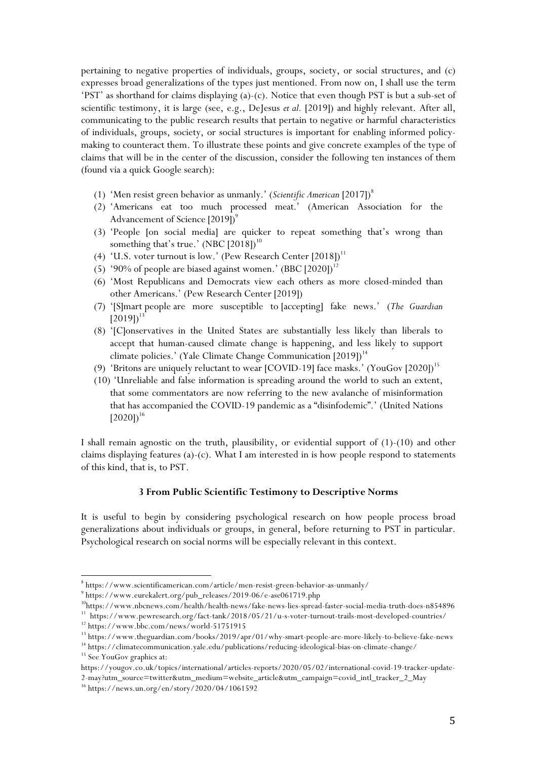pertaining to negative properties of individuals, groups, society, or social structures, and (c) expresses broad generalizations of the types just mentioned. From now on, I shall use the term 'PST' as shorthand for claims displaying (a)-(c). Notice that even though PST is but a sub-set of scientific testimony, it is large (see, e.g., DeJesus *et al.* [2019]) and highly relevant. After all, communicating to the public research results that pertain to negative or harmful characteristics of individuals, groups, society, or social structures is important for enabling informed policymaking to counteract them. To illustrate these points and give concrete examples of the type of claims that will be in the center of the discussion, consider the following ten instances of them (found via a quick Google search):

- (1) 'Men resist green behavior as unmanly.' (*Scientific American* [2017]) 8
- (2) 'Americans eat too much processed meat.' (American Association for the Advancement of Science  $[2019]$ <sup>9</sup>
- (3) 'People [on social media] are quicker to repeat something that's wrong than something that's true.'  $\left(\text{NBC [2018]}\right)^{10}$
- (4) 'U.S. voter turnout is low.' (Pew Research Center  $[2018]$ )<sup>11</sup>
- (5) '90% of people are biased against women.'  $(BBC [2020])^{12}$
- (6) 'Most Republicans and Democrats view each others as more closed-minded than other Americans.' (Pew Research Center [2019])
- (7) '[S]mart people are more susceptible to [accepting] fake news.' (*The Guardian*  $[2019]$ <sup>13</sup>
- (8) '[C]onservatives in the United States are substantially less likely than liberals to accept that human-caused climate change is happening, and less likely to support climate policies.' (Yale Climate Change Communication [2019])<sup>14</sup>
- (9) 'Britons are uniquely reluctant to wear [COVID-19] face masks.' (YouGov [2020])<sup>15</sup>
- (10) 'Unreliable and false information is spreading around the world to such an extent, that some commentators are now referring to the new avalanche of misinformation that has accompanied the COVID-19 pandemic as a "disinfodemic".' (United Nations  $[2020]$ <sup>16</sup>

I shall remain agnostic on the truth, plausibility, or evidential support of (1)-(10) and other claims displaying features (a)-(c). What I am interested in is how people respond to statements of this kind, that is, to PST.

#### **3 From Public Scientific Testimony to Descriptive Norms**

It is useful to begin by considering psychological research on how people process broad generalizations about individuals or groups, in general, before returning to PST in particular. Psychological research on social norms will be especially relevant in this context.

<sup>8</sup> https://www.scientificamerican.com/article/men-resist-green-behavior-as-unmanly/

 $^9$ https://www.eurekalert.org/pub\_releases/2019-06/e-ase061719.php

<sup>10</sup>https://www.nbcnews.com/health/health-news/fake-news-lies-spread-faster-social-media-truth-does-n854896 11 https://www.pewresearch.org/fact-tank/2018/05/21/u-s-voter-turnout-trails-most-developed-countries/

<sup>12</sup> https://www.bbc.com/news/world-51751915

<sup>13</sup> https://www.theguardian.com/books/2019/apr/01/why-smart-people-are-more-likely-to-believe-fake-news

<sup>14</sup> https://climatecommunication.yale.edu/publications/reducing-ideological-bias-on-climate-change/ <sup>15</sup> See YouGov graphics at:

https://yougov.co.uk/topics/international/articles-reports/2020/05/02/international-covid-19-tracker-update-2-may?utm\_source=twitter&utm\_medium=website\_article&utm\_campaign=covid\_intl\_tracker\_2\_May

<sup>16</sup> https://news.un.org/en/story/2020/04/1061592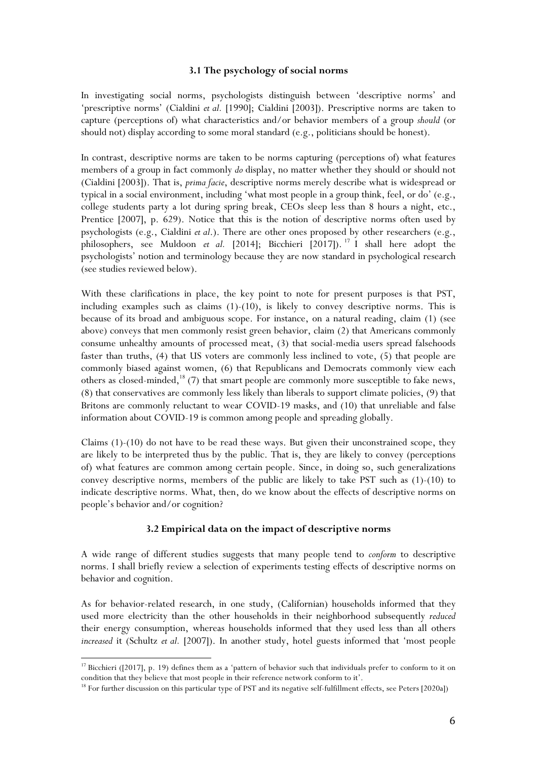## **3.1 The psychology of social norms**

In investigating social norms, psychologists distinguish between 'descriptive norms' and 'prescriptive norms' (Cialdini *et al.* [1990]; Cialdini [2003]). Prescriptive norms are taken to capture (perceptions of) what characteristics and/or behavior members of a group *should* (or should not) display according to some moral standard (e.g., politicians should be honest).

In contrast, descriptive norms are taken to be norms capturing (perceptions of) what features members of a group in fact commonly *do* display, no matter whether they should or should not (Cialdini [2003]). That is, *prima facie*, descriptive norms merely describe what is widespread or typical in a social environment, including 'what most people in a group think, feel, or do' (e.g., college students party a lot during spring break, CEOs sleep less than 8 hours a night, etc., Prentice [2007], p. 629). Notice that this is the notion of descriptive norms often used by psychologists (e.g., Cialdini *et al*.). There are other ones proposed by other researchers (e.g., philosophers, see Muldoon *et al.* [2014]; Bicchieri [2017]). <sup>17</sup> I shall here adopt the psychologists' notion and terminology because they are now standard in psychological research (see studies reviewed below).

With these clarifications in place, the key point to note for present purposes is that PST, including examples such as claims (1)-(10), is likely to convey descriptive norms. This is because of its broad and ambiguous scope. For instance, on a natural reading, claim (1) (see above) conveys that men commonly resist green behavior, claim (2) that Americans commonly consume unhealthy amounts of processed meat, (3) that social-media users spread falsehoods faster than truths, (4) that US voters are commonly less inclined to vote, (5) that people are commonly biased against women, (6) that Republicans and Democrats commonly view each others as closed-minded,<sup>18</sup> (7) that smart people are commonly more susceptible to fake news, (8) that conservatives are commonly less likely than liberals to support climate policies, (9) that Britons are commonly reluctant to wear COVID-19 masks, and (10) that unreliable and false information about COVID-19 is common among people and spreading globally.

Claims (1)-(10) do not have to be read these ways. But given their unconstrained scope, they are likely to be interpreted thus by the public. That is, they are likely to convey (perceptions of) what features are common among certain people. Since, in doing so, such generalizations convey descriptive norms, members of the public are likely to take PST such as (1)-(10) to indicate descriptive norms. What, then, do we know about the effects of descriptive norms on people's behavior and/or cognition?

## **3.2 Empirical data on the impact of descriptive norms**

A wide range of different studies suggests that many people tend to *conform* to descriptive norms. I shall briefly review a selection of experiments testing effects of descriptive norms on behavior and cognition.

As for behavior-related research, in one study, (Californian) households informed that they used more electricity than the other households in their neighborhood subsequently *reduced* their energy consumption, whereas households informed that they used less than all others *increased* it (Schultz *et al.* [2007]). In another study, hotel guests informed that 'most people

<sup>&</sup>lt;sup>17</sup> Bicchieri ([2017], p. 19) defines them as a 'pattern of behavior such that individuals prefer to conform to it on condition that they believe that most people in their reference network conform to it'.

<sup>&</sup>lt;sup>18</sup> For further discussion on this particular type of PST and its negative self-fulfillment effects, see Peters [2020a])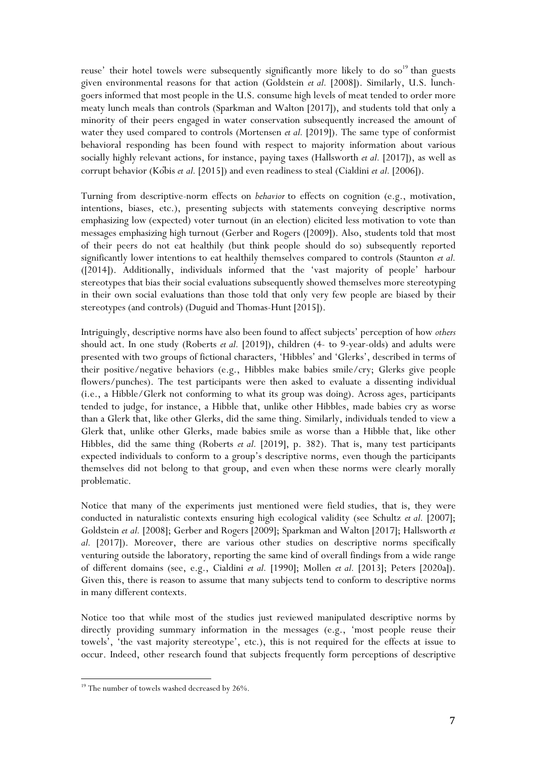reuse' their hotel towels were subsequently significantly more likely to do so<sup>19</sup> than guests given environmental reasons for that action (Goldstein *et al.* [2008]). Similarly, U.S. lunchgoers informed that most people in the U.S. consume high levels of meat tended to order more meaty lunch meals than controls (Sparkman and Walton [2017]), and students told that only a minority of their peers engaged in water conservation subsequently increased the amount of water they used compared to controls (Mortensen *et al.* [2019]). The same type of conformist behavioral responding has been found with respect to majority information about various socially highly relevant actions, for instance, paying taxes (Hallsworth *et al.* [2017]), as well as corrupt behavior (Köbis *et al.* [2015]) and even readiness to steal (Cialdini *et al.* [2006]).

Turning from descriptive-norm effects on *behavior* to effects on cognition (e.g., motivation, intentions, biases, etc.), presenting subjects with statements conveying descriptive norms emphasizing low (expected) voter turnout (in an election) elicited less motivation to vote than messages emphasizing high turnout (Gerber and Rogers ([2009]). Also, students told that most of their peers do not eat healthily (but think people should do so) subsequently reported significantly lower intentions to eat healthily themselves compared to controls (Staunton *et al.* ([2014]). Additionally, individuals informed that the 'vast majority of people' harbour stereotypes that bias their social evaluations subsequently showed themselves more stereotyping in their own social evaluations than those told that only very few people are biased by their stereotypes (and controls) (Duguid and Thomas-Hunt [2015]).

Intriguingly, descriptive norms have also been found to affect subjects' perception of how *others* should act. In one study (Roberts *et al.* [2019]), children (4- to 9-year-olds) and adults were presented with two groups of fictional characters, 'Hibbles' and 'Glerks', described in terms of their positive/negative behaviors (e.g., Hibbles make babies smile/cry; Glerks give people flowers/punches). The test participants were then asked to evaluate a dissenting individual (i.e., a Hibble/Glerk not conforming to what its group was doing). Across ages, participants tended to judge, for instance, a Hibble that, unlike other Hibbles, made babies cry as worse than a Glerk that, like other Glerks, did the same thing. Similarly, individuals tended to view a Glerk that, unlike other Glerks, made babies smile as worse than a Hibble that, like other Hibbles, did the same thing (Roberts *et al.* [2019], p. 382). That is, many test participants expected individuals to conform to a group's descriptive norms, even though the participants themselves did not belong to that group, and even when these norms were clearly morally problematic.

Notice that many of the experiments just mentioned were field studies, that is, they were conducted in naturalistic contexts ensuring high ecological validity (see Schultz *et al.* [2007]; Goldstein *et al.* [2008]; Gerber and Rogers [2009]; Sparkman and Walton [2017]; Hallsworth *et al.* [2017]). Moreover, there are various other studies on descriptive norms specifically venturing outside the laboratory, reporting the same kind of overall findings from a wide range of different domains (see, e.g., Cialdini *et al.* [1990]; Mollen *et al.* [2013]; Peters [2020a]). Given this, there is reason to assume that many subjects tend to conform to descriptive norms in many different contexts.

Notice too that while most of the studies just reviewed manipulated descriptive norms by directly providing summary information in the messages (e.g., 'most people reuse their towels', 'the vast majority stereotype', etc.), this is not required for the effects at issue to occur. Indeed, other research found that subjects frequently form perceptions of descriptive

 $19$  The number of towels washed decreased by 26%.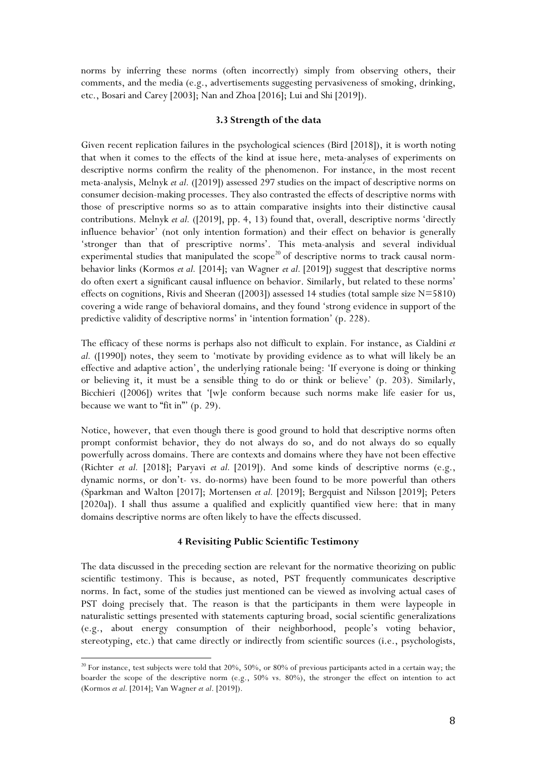norms by inferring these norms (often incorrectly) simply from observing others, their comments, and the media (e.g., advertisements suggesting pervasiveness of smoking, drinking, etc., Bosari and Carey [2003]; Nan and Zhoa [2016]; Lui and Shi [2019]).

#### **3.3 Strength of the data**

Given recent replication failures in the psychological sciences (Bird [2018]), it is worth noting that when it comes to the effects of the kind at issue here, meta-analyses of experiments on descriptive norms confirm the reality of the phenomenon. For instance, in the most recent meta-analysis, Melnyk *et al.* ([2019]) assessed 297 studies on the impact of descriptive norms on consumer decision-making processes. They also contrasted the effects of descriptive norms with those of prescriptive norms so as to attain comparative insights into their distinctive causal contributions. Melnyk *et al.* ([2019], pp. 4, 13) found that, overall, descriptive norms 'directly influence behavior' (not only intention formation) and their effect on behavior is generally 'stronger than that of prescriptive norms'. This meta-analysis and several individual experimental studies that manipulated the  $\text{scope}^{20}$  of descriptive norms to track causal normbehavior links (Kormos *et al.* [2014]; van Wagner *et al.* [2019]) suggest that descriptive norms do often exert a significant causal influence on behavior. Similarly, but related to these norms' effects on cognitions, Rivis and Sheeran ([2003]) assessed 14 studies (total sample size N=5810) covering a wide range of behavioral domains, and they found 'strong evidence in support of the predictive validity of descriptive norms' in 'intention formation' (p. 228).

The efficacy of these norms is perhaps also not difficult to explain. For instance, as Cialdini *et al.* ([1990]) notes, they seem to 'motivate by providing evidence as to what will likely be an effective and adaptive action', the underlying rationale being: 'If everyone is doing or thinking or believing it, it must be a sensible thing to do or think or believe' (p. 203). Similarly, Bicchieri ([2006]) writes that '[w]e conform because such norms make life easier for us, because we want to "fit in"' (p. 29).

Notice, however, that even though there is good ground to hold that descriptive norms often prompt conformist behavior, they do not always do so, and do not always do so equally powerfully across domains. There are contexts and domains where they have not been effective (Richter *et al.* [2018]; Paryavi *et al.* [2019]). And some kinds of descriptive norms (e.g., dynamic norms, or don't- vs. do-norms) have been found to be more powerful than others (Sparkman and Walton [2017]; Mortensen *et al.* [2019]; Bergquist and Nilsson [2019]; Peters [2020a]). I shall thus assume a qualified and explicitly quantified view here: that in many domains descriptive norms are often likely to have the effects discussed.

#### **4 Revisiting Public Scientific Testimony**

The data discussed in the preceding section are relevant for the normative theorizing on public scientific testimony. This is because, as noted, PST frequently communicates descriptive norms. In fact, some of the studies just mentioned can be viewed as involving actual cases of PST doing precisely that. The reason is that the participants in them were laypeople in naturalistic settings presented with statements capturing broad, social scientific generalizations (e.g., about energy consumption of their neighborhood, people's voting behavior, stereotyping, etc.) that came directly or indirectly from scientific sources (i.e., psychologists,

<sup>&</sup>lt;sup>20</sup> For instance, test subjects were told that 20%, 50%, or 80% of previous participants acted in a certain way; the boarder the scope of the descriptive norm (e.g., 50% vs. 80%), the stronger the effect on intention to act (Kormos *et al.* [2014]; Van Wagner *et al*. [2019]).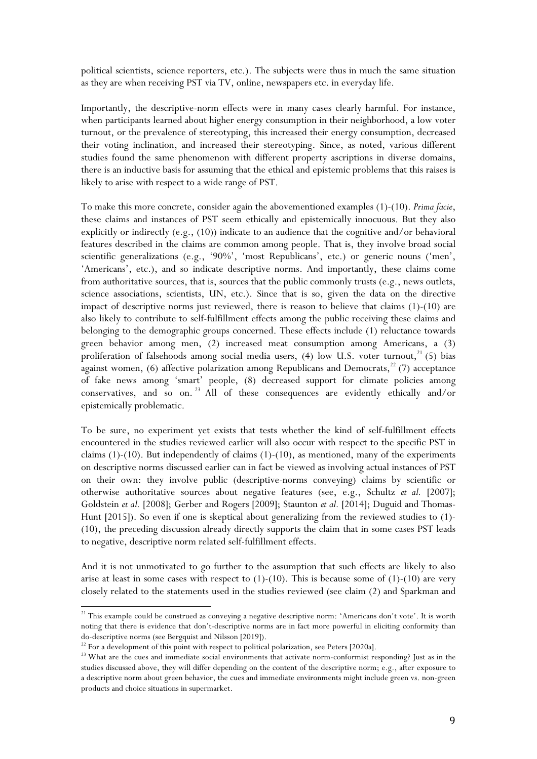political scientists, science reporters, etc.). The subjects were thus in much the same situation as they are when receiving PST via TV, online, newspapers etc. in everyday life.

Importantly, the descriptive-norm effects were in many cases clearly harmful. For instance, when participants learned about higher energy consumption in their neighborhood, a low voter turnout, or the prevalence of stereotyping, this increased their energy consumption, decreased their voting inclination, and increased their stereotyping. Since, as noted, various different studies found the same phenomenon with different property ascriptions in diverse domains, there is an inductive basis for assuming that the ethical and epistemic problems that this raises is likely to arise with respect to a wide range of PST.

To make this more concrete, consider again the abovementioned examples (1)-(10). *Prima facie*, these claims and instances of PST seem ethically and epistemically innocuous. But they also explicitly or indirectly (e.g.,  $(10)$ ) indicate to an audience that the cognitive and/or behavioral features described in the claims are common among people. That is, they involve broad social scientific generalizations (e.g., '90%', 'most Republicans', etc.) or generic nouns ('men', 'Americans', etc.), and so indicate descriptive norms. And importantly, these claims come from authoritative sources, that is, sources that the public commonly trusts (e.g., news outlets, science associations, scientists, UN, etc.). Since that is so, given the data on the directive impact of descriptive norms just reviewed, there is reason to believe that claims (1)-(10) are also likely to contribute to self-fulfillment effects among the public receiving these claims and belonging to the demographic groups concerned. These effects include (1) reluctance towards green behavior among men, (2) increased meat consumption among Americans, a (3) proliferation of falsehoods among social media users,  $(4)$  low U.S. voter turnout,<sup>21</sup> (5) bias against women,  $(6)$  affective polarization among Republicans and Democrats,<sup>22</sup> (7) acceptance of fake news among 'smart' people, (8) decreased support for climate policies among conservatives, and so on. <sup>23</sup> All of these consequences are evidently ethically and/or epistemically problematic.

To be sure, no experiment yet exists that tests whether the kind of self-fulfillment effects encountered in the studies reviewed earlier will also occur with respect to the specific PST in claims  $(1)-(10)$ . But independently of claims  $(1)-(10)$ , as mentioned, many of the experiments on descriptive norms discussed earlier can in fact be viewed as involving actual instances of PST on their own: they involve public (descriptive-norms conveying) claims by scientific or otherwise authoritative sources about negative features (see, e.g., Schultz *et al.* [2007]; Goldstein *et al.* [2008]; Gerber and Rogers [2009]; Staunton *et al.* [2014]; Duguid and Thomas-Hunt [2015]). So even if one is skeptical about generalizing from the reviewed studies to (1)-(10), the preceding discussion already directly supports the claim that in some cases PST leads to negative, descriptive norm related self-fulfillment effects.

And it is not unmotivated to go further to the assumption that such effects are likely to also arise at least in some cases with respect to  $(1)-(10)$ . This is because some of  $(1)-(10)$  are very closely related to the statements used in the studies reviewed (see claim (2) and Sparkman and

<sup>&</sup>lt;sup>21</sup> This example could be construed as conveying a negative descriptive norm: 'Americans don't vote'. It is worth noting that there is evidence that don't-descriptive norms are in fact more powerful in eliciting conformity than do-descriptive norms (see Bergquist and Nilsson [2019]).<br><sup>22</sup> For a development of this point with respect to political polarization, see Peters [2020a].

<sup>&</sup>lt;sup>23</sup> What are the cues and immediate social environments that activate norm-conformist responding? Just as in the studies discussed above, they will differ depending on the content of the descriptive norm; e.g., after exposure to a descriptive norm about green behavior, the cues and immediate environments might include green vs. non-green products and choice situations in supermarket.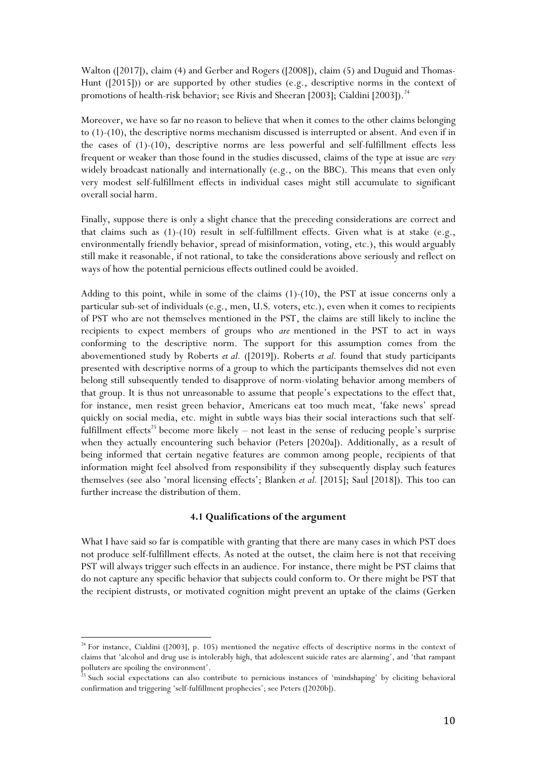Walton ([2017]), claim (4) and Gerber and Rogers ([2008]), claim (5) and Duguid and Thomas-Hunt ([2015])) or are supported by other studies (e.g., descriptive norms in the context of promotions of health-risk behavior; see Rivis and Sheeran [2003]; Cialdini [2003]).<sup>24</sup>

Moreover, we have so far no reason to believe that when it comes to the other claims belonging to (1)-(10), the descriptive norms mechanism discussed is interrupted or absent. And even if in the cases of (1)-(10), descriptive norms are less powerful and self-fulfillment effects less frequent or weaker than those found in the studies discussed, claims of the type at issue are *very*  widely broadcast nationally and internationally (e.g., on the BBC). This means that even only very modest self-fulfillment effects in individual cases might still accumulate to significant overall social harm.

Finally, suppose there is only a slight chance that the preceding considerations are correct and that claims such as  $(1)-(10)$  result in self-fulfillment effects. Given what is at stake  $(e.g.,)$ environmentally friendly behavior, spread of misinformation, voting, etc.), this would arguably still make it reasonable, if not rational, to take the considerations above seriously and reflect on ways of how the potential pernicious effects outlined could be avoided.

Adding to this point, while in some of the claims (1)-(10), the PST at issue concerns only a particular sub-set of individuals (e.g., men, U.S. voters, etc.), even when it comes to recipients of PST who are not themselves mentioned in the PST, the claims are still likely to incline the recipients to expect members of groups who *are* mentioned in the PST to act in ways conforming to the descriptive norm. The support for this assumption comes from the abovementioned study by Roberts *et al.* ([2019]). Roberts *et al.* found that study participants presented with descriptive norms of a group to which the participants themselves did not even belong still subsequently tended to disapprove of norm-violating behavior among members of that group. It is thus not unreasonable to assume that people's expectations to the effect that, for instance, men resist green behavior, Americans eat too much meat, 'fake news' spread quickly on social media, etc. might in subtle ways bias their social interactions such that selffulfillment effects<sup>25</sup> become more likely – not least in the sense of reducing people's surprise when they actually encountering such behavior (Peters [2020a]). Additionally, as a result of being informed that certain negative features are common among people, recipients of that information might feel absolved from responsibility if they subsequently display such features themselves (see also 'moral licensing effects'; Blanken *et al.* [2015]; Saul [2018]). This too can further increase the distribution of them.

#### **4.1 Qualifications of the argument**

What I have said so far is compatible with granting that there are many cases in which PST does not produce self-fulfillment effects. As noted at the outset, the claim here is not that receiving PST will always trigger such effects in an audience. For instance, there might be PST claims that do not capture any specific behavior that subjects could conform to. Or there might be PST that the recipient distrusts, or motivated cognition might prevent an uptake of the claims (Gerken

 $24$  For instance, Cialdini ([2003], p. 105) mentioned the negative effects of descriptive norms in the context of claims that 'alcohol and drug use is intolerably high, that adolescent suicide rates are alarming', and 'that rampant polluters are spoiling the environment'.

<sup>&</sup>lt;sup>25</sup> Such social expectations can also contribute to pernicious instances of 'mindshaping' by eliciting behavioral confirmation and triggering 'self-fulfillment prophecies'; see Peters ([2020b]).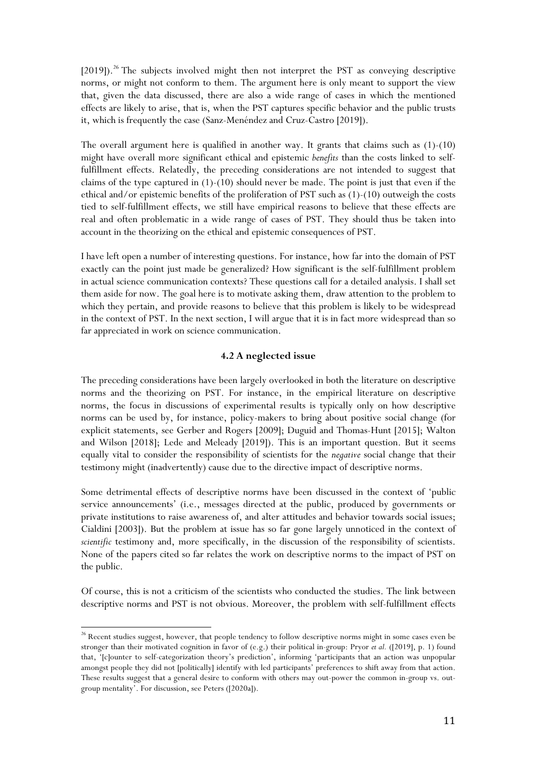[2019]). <sup>26</sup> The subjects involved might then not interpret the PST as conveying descriptive norms, or might not conform to them. The argument here is only meant to support the view that, given the data discussed, there are also a wide range of cases in which the mentioned effects are likely to arise, that is, when the PST captures specific behavior and the public trusts it, which is frequently the case (Sanz-Menéndez and Cruz-Castro [2019]).

The overall argument here is qualified in another way. It grants that claims such as (1)-(10) might have overall more significant ethical and epistemic *benefits* than the costs linked to selffulfillment effects. Relatedly, the preceding considerations are not intended to suggest that claims of the type captured in (1)-(10) should never be made. The point is just that even if the ethical and/or epistemic benefits of the proliferation of PST such as (1)-(10) outweigh the costs tied to self-fulfillment effects, we still have empirical reasons to believe that these effects are real and often problematic in a wide range of cases of PST. They should thus be taken into account in the theorizing on the ethical and epistemic consequences of PST.

I have left open a number of interesting questions. For instance, how far into the domain of PST exactly can the point just made be generalized? How significant is the self-fulfillment problem in actual science communication contexts? These questions call for a detailed analysis. I shall set them aside for now. The goal here is to motivate asking them, draw attention to the problem to which they pertain, and provide reasons to believe that this problem is likely to be widespread in the context of PST. In the next section, I will argue that it is in fact more widespread than so far appreciated in work on science communication.

## **4.2 A neglected issue**

The preceding considerations have been largely overlooked in both the literature on descriptive norms and the theorizing on PST. For instance, in the empirical literature on descriptive norms, the focus in discussions of experimental results is typically only on how descriptive norms can be used by, for instance, policy-makers to bring about positive social change (for explicit statements, see Gerber and Rogers [2009]; Duguid and Thomas-Hunt [2015]; Walton and Wilson [2018]; Lede and Meleady [2019]). This is an important question. But it seems equally vital to consider the responsibility of scientists for the *negative* social change that their testimony might (inadvertently) cause due to the directive impact of descriptive norms.

Some detrimental effects of descriptive norms have been discussed in the context of 'public service announcements' (i.e., messages directed at the public, produced by governments or private institutions to raise awareness of, and alter attitudes and behavior towards social issues; Cialdini [2003]). But the problem at issue has so far gone largely unnoticed in the context of *scientific* testimony and, more specifically, in the discussion of the responsibility of scientists. None of the papers cited so far relates the work on descriptive norms to the impact of PST on the public.

Of course, this is not a criticism of the scientists who conducted the studies. The link between descriptive norms and PST is not obvious. Moreover, the problem with self-fulfillment effects

<sup>&</sup>lt;sup>26</sup> Recent studies suggest, however, that people tendency to follow descriptive norms might in some cases even be stronger than their motivated cognition in favor of (e.g.) their political in-group: Pryor *et al.* ([2019], p. 1) found that, '[c]ounter to self-categorization theory's prediction', informing 'participants that an action was unpopular amongst people they did not [politically] identify with led participants' preferences to shift away from that action. These results suggest that a general desire to conform with others may out-power the common in-group vs. outgroup mentality'. For discussion, see Peters ([2020a]).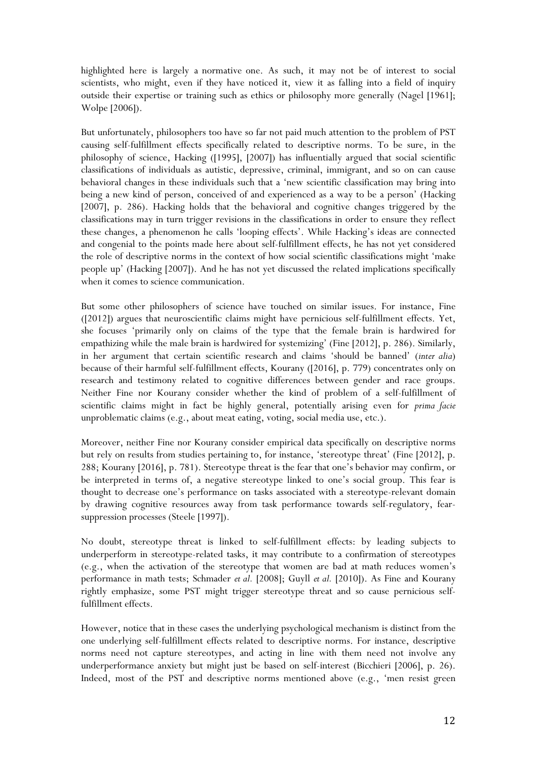highlighted here is largely a normative one. As such, it may not be of interest to social scientists, who might, even if they have noticed it, view it as falling into a field of inquiry outside their expertise or training such as ethics or philosophy more generally (Nagel [1961]; Wolpe [2006]).

But unfortunately, philosophers too have so far not paid much attention to the problem of PST causing self-fulfillment effects specifically related to descriptive norms. To be sure, in the philosophy of science, Hacking ([1995], [2007]) has influentially argued that social scientific classifications of individuals as autistic, depressive, criminal, immigrant, and so on can cause behavioral changes in these individuals such that a 'new scientific classification may bring into being a new kind of person, conceived of and experienced as a way to be a person' (Hacking [2007], p. 286). Hacking holds that the behavioral and cognitive changes triggered by the classifications may in turn trigger revisions in the classifications in order to ensure they reflect these changes, a phenomenon he calls 'looping effects'. While Hacking's ideas are connected and congenial to the points made here about self-fulfillment effects, he has not yet considered the role of descriptive norms in the context of how social scientific classifications might 'make people up' (Hacking [2007]). And he has not yet discussed the related implications specifically when it comes to science communication.

But some other philosophers of science have touched on similar issues. For instance, Fine ([2012]) argues that neuroscientific claims might have pernicious self-fulfillment effects. Yet, she focuses 'primarily only on claims of the type that the female brain is hardwired for empathizing while the male brain is hardwired for systemizing' (Fine [2012], p. 286). Similarly, in her argument that certain scientific research and claims 'should be banned' (*inter alia*) because of their harmful self-fulfillment effects, Kourany ([2016], p. 779) concentrates only on research and testimony related to cognitive differences between gender and race groups. Neither Fine nor Kourany consider whether the kind of problem of a self-fulfillment of scientific claims might in fact be highly general, potentially arising even for *prima facie* unproblematic claims (e.g., about meat eating, voting, social media use, etc.).

Moreover, neither Fine nor Kourany consider empirical data specifically on descriptive norms but rely on results from studies pertaining to, for instance, 'stereotype threat' (Fine [2012], p. 288; Kourany [2016], p. 781). Stereotype threat is the fear that one's behavior may confirm, or be interpreted in terms of, a negative stereotype linked to one's social group. This fear is thought to decrease one's performance on tasks associated with a stereotype-relevant domain by drawing cognitive resources away from task performance towards self-regulatory, fearsuppression processes (Steele [1997]).

No doubt, stereotype threat is linked to self-fulfillment effects: by leading subjects to underperform in stereotype-related tasks, it may contribute to a confirmation of stereotypes (e.g., when the activation of the stereotype that women are bad at math reduces women's performance in math tests; Schmader *et al.* [2008]; Guyll *et al.* [2010]). As Fine and Kourany rightly emphasize, some PST might trigger stereotype threat and so cause pernicious selffulfillment effects.

However, notice that in these cases the underlying psychological mechanism is distinct from the one underlying self-fulfillment effects related to descriptive norms. For instance, descriptive norms need not capture stereotypes, and acting in line with them need not involve any underperformance anxiety but might just be based on self-interest (Bicchieri [2006], p. 26). Indeed, most of the PST and descriptive norms mentioned above (e.g., 'men resist green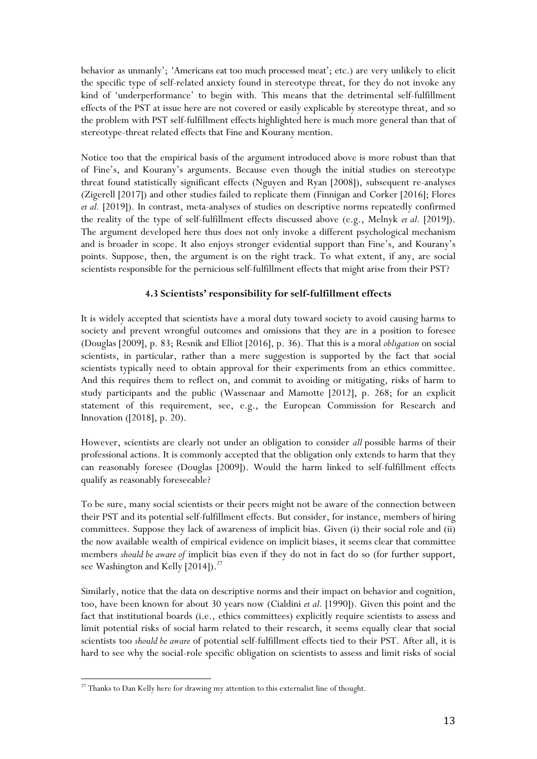behavior as unmanly'; 'Americans eat too much processed meat'; etc.) are very unlikely to elicit the specific type of self-related anxiety found in stereotype threat, for they do not invoke any kind of 'underperformance' to begin with. This means that the detrimental self-fulfillment effects of the PST at issue here are not covered or easily explicable by stereotype threat, and so the problem with PST self-fulfillment effects highlighted here is much more general than that of stereotype-threat related effects that Fine and Kourany mention.

Notice too that the empirical basis of the argument introduced above is more robust than that of Fine's, and Kourany's arguments. Because even though the initial studies on stereotype threat found statistically significant effects (Nguyen and Ryan [2008]), subsequent re-analyses (Zigerell [2017]) and other studies failed to replicate them (Finnigan and Corker [2016]; Flores *et al.* [2019]). In contrast, meta-analyses of studies on descriptive norms repeatedly confirmed the reality of the type of self-fulfillment effects discussed above (e.g., Melnyk *et al.* [2019]). The argument developed here thus does not only invoke a different psychological mechanism and is broader in scope. It also enjoys stronger evidential support than Fine's, and Kourany's points. Suppose, then, the argument is on the right track. To what extent, if any, are social scientists responsible for the pernicious self-fulfillment effects that might arise from their PST?

# **4.3 Scientists' responsibility for self-fulfillment effects**

It is widely accepted that scientists have a moral duty toward society to avoid causing harms to society and prevent wrongful outcomes and omissions that they are in a position to foresee (Douglas [2009], p. 83; Resnik and Elliot [2016], p. 36). That this is a moral *obligation* on social scientists, in particular, rather than a mere suggestion is supported by the fact that social scientists typically need to obtain approval for their experiments from an ethics committee. And this requires them to reflect on, and commit to avoiding or mitigating, risks of harm to study participants and the public (Wassenaar and Mamotte [2012], p. 268; for an explicit statement of this requirement, see, e.g., the European Commission for Research and Innovation ([2018], p. 20).

However, scientists are clearly not under an obligation to consider *all* possible harms of their professional actions. It is commonly accepted that the obligation only extends to harm that they can reasonably foresee (Douglas [2009]). Would the harm linked to self-fulfillment effects qualify as reasonably foreseeable?

To be sure, many social scientists or their peers might not be aware of the connection between their PST and its potential self-fulfillment effects. But consider, for instance, members of hiring committees. Suppose they lack of awareness of implicit bias. Given (i) their social role and (ii) the now available wealth of empirical evidence on implicit biases, it seems clear that committee members *should be aware of* implicit bias even if they do not in fact do so (for further support, see Washington and Kelly  $[2014]$ .<sup>27</sup>

Similarly, notice that the data on descriptive norms and their impact on behavior and cognition, too, have been known for about 30 years now (Cialdini *et al.* [1990]). Given this point and the fact that institutional boards (i.e., ethics committees) explicitly require scientists to assess and limit potential risks of social harm related to their research, it seems equally clear that social scientists too *should be aware* of potential self-fulfillment effects tied to their PST. After all, it is hard to see why the social-role specific obligation on scientists to assess and limit risks of social

 <sup>27</sup> Thanks to Dan Kelly here for drawing my attention to this externalist line of thought.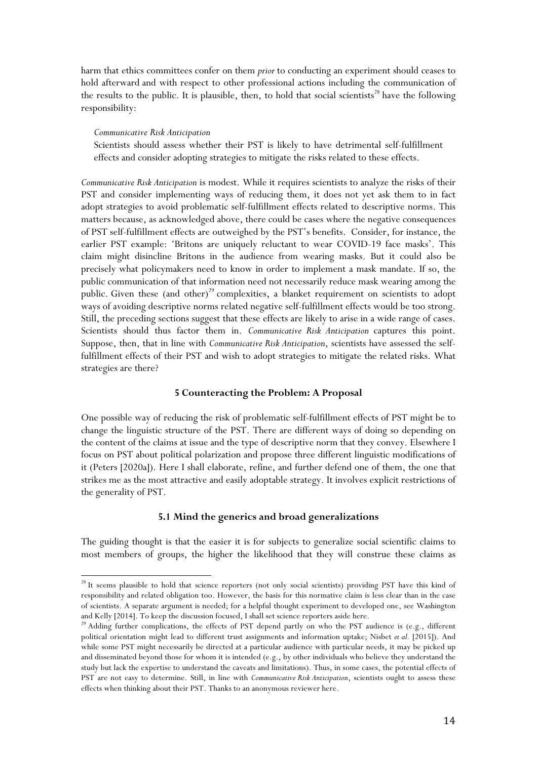harm that ethics committees confer on them *prior* to conducting an experiment should ceases to hold afterward and with respect to other professional actions including the communication of the results to the public. It is plausible, then, to hold that social scientists<sup>28</sup> have the following responsibility:

#### *Communicative Risk Anticipation*

 

Scientists should assess whether their PST is likely to have detrimental self-fulfillment effects and consider adopting strategies to mitigate the risks related to these effects.

*Communicative Risk Anticipation* is modest. While it requires scientists to analyze the risks of their PST and consider implementing ways of reducing them, it does not yet ask them to in fact adopt strategies to avoid problematic self-fulfillment effects related to descriptive norms. This matters because, as acknowledged above, there could be cases where the negative consequences of PST self-fulfillment effects are outweighed by the PST's benefits. Consider, for instance, the earlier PST example: 'Britons are uniquely reluctant to wear COVID-19 face masks'. This claim might disincline Britons in the audience from wearing masks. But it could also be precisely what policymakers need to know in order to implement a mask mandate. If so, the public communication of that information need not necessarily reduce mask wearing among the public. Given these (and other)<sup>29</sup> complexities, a blanket requirement on scientists to adopt ways of avoiding descriptive norms related negative self-fulfillment effects would be too strong. Still, the preceding sections suggest that these effects are likely to arise in a wide range of cases. Scientists should thus factor them in. *Communicative Risk Anticipation* captures this point. Suppose, then, that in line with *Communicative Risk Anticipation*, scientists have assessed the selffulfillment effects of their PST and wish to adopt strategies to mitigate the related risks. What strategies are there?

## **5 Counteracting the Problem: A Proposal**

One possible way of reducing the risk of problematic self-fulfillment effects of PST might be to change the linguistic structure of the PST. There are different ways of doing so depending on the content of the claims at issue and the type of descriptive norm that they convey. Elsewhere I focus on PST about political polarization and propose three different linguistic modifications of it (Peters [2020a]). Here I shall elaborate, refine, and further defend one of them, the one that strikes me as the most attractive and easily adoptable strategy. It involves explicit restrictions of the generality of PST.

## **5.1 Mind the generics and broad generalizations**

The guiding thought is that the easier it is for subjects to generalize social scientific claims to most members of groups, the higher the likelihood that they will construe these claims as

<sup>&</sup>lt;sup>28</sup> It seems plausible to hold that science reporters (not only social scientists) providing PST have this kind of responsibility and related obligation too. However, the basis for this normative claim is less clear than in the case of scientists. A separate argument is needed; for a helpful thought experiment to developed one, see Washington and Kelly [2014]. To keep the discussion focused, I shall set science reporters aside here.<br><sup>29</sup> Adding further complications, the effects of PST depend partly on who the PST audience is (e.g., different

political orientation might lead to different trust assignments and information uptake; Nisbet *et al.* [2015]). And while some PST might necessarily be directed at a particular audience with particular needs, it may be picked up and disseminated beyond those for whom it is intended (e.g., by other individuals who believe they understand the study but lack the expertise to understand the caveats and limitations). Thus, in some cases, the potential effects of PST are not easy to determine. Still, in line with *Communicative Risk Anticipation*, scientists ought to assess these effects when thinking about their PST. Thanks to an anonymous reviewer here.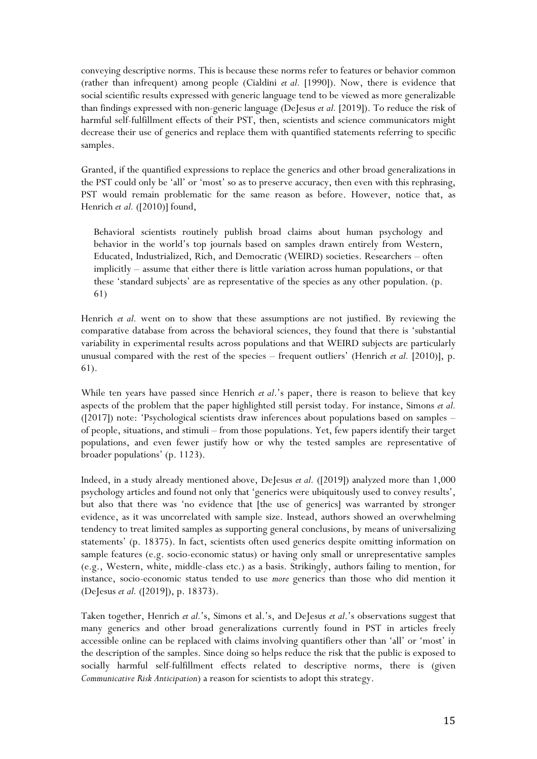conveying descriptive norms. This is because these norms refer to features or behavior common (rather than infrequent) among people (Cialdini *et al.* [1990]). Now, there is evidence that social scientific results expressed with generic language tend to be viewed as more generalizable than findings expressed with non-generic language (DeJesus *et al.* [2019]). To reduce the risk of harmful self-fulfillment effects of their PST, then, scientists and science communicators might decrease their use of generics and replace them with quantified statements referring to specific samples.

Granted, if the quantified expressions to replace the generics and other broad generalizations in the PST could only be 'all' or 'most' so as to preserve accuracy, then even with this rephrasing, PST would remain problematic for the same reason as before. However, notice that, as Henrich *et al.* ([2010)] found,

Behavioral scientists routinely publish broad claims about human psychology and behavior in the world's top journals based on samples drawn entirely from Western, Educated, Industrialized, Rich, and Democratic (WEIRD) societies. Researchers – often implicitly – assume that either there is little variation across human populations, or that these 'standard subjects' are as representative of the species as any other population. (p. 61)

Henrich *et al.* went on to show that these assumptions are not justified. By reviewing the comparative database from across the behavioral sciences, they found that there is 'substantial variability in experimental results across populations and that WEIRD subjects are particularly unusual compared with the rest of the species – frequent outliers' (Henrich *et al.* [2010)], p. 61).

While ten years have passed since Henrich *et al*.'s paper, there is reason to believe that key aspects of the problem that the paper highlighted still persist today. For instance, Simons *et al.* ([2017]) note: 'Psychological scientists draw inferences about populations based on samples – of people, situations, and stimuli – from those populations. Yet, few papers identify their target populations, and even fewer justify how or why the tested samples are representative of broader populations' (p. 1123).

Indeed, in a study already mentioned above, DeJesus *et al.* ([2019]) analyzed more than 1,000 psychology articles and found not only that 'generics were ubiquitously used to convey results', but also that there was 'no evidence that [the use of generics] was warranted by stronger evidence, as it was uncorrelated with sample size. Instead, authors showed an overwhelming tendency to treat limited samples as supporting general conclusions, by means of universalizing statements' (p. 18375). In fact, scientists often used generics despite omitting information on sample features (e.g. socio-economic status) or having only small or unrepresentative samples (e.g., Western, white, middle-class etc.) as a basis. Strikingly, authors failing to mention, for instance, socio-economic status tended to use *more* generics than those who did mention it (DeJesus *et al.* ([2019]), p. 18373).

Taken together, Henrich *et al.*'s, Simons et al.'s, and DeJesus *et al.*'s observations suggest that many generics and other broad generalizations currently found in PST in articles freely accessible online can be replaced with claims involving quantifiers other than 'all' or 'most' in the description of the samples. Since doing so helps reduce the risk that the public is exposed to socially harmful self-fulfillment effects related to descriptive norms, there is (given *Communicative Risk Anticipation*) a reason for scientists to adopt this strategy.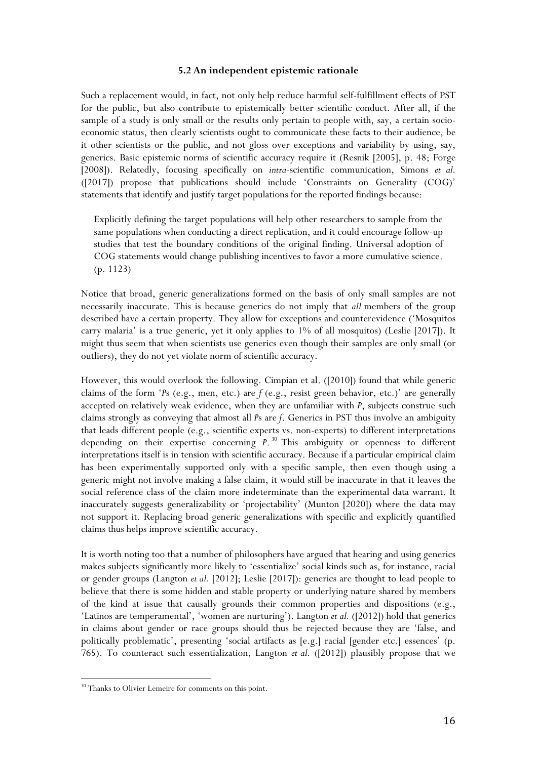# **5.2 An independent epistemic rationale**

Such a replacement would, in fact, not only help reduce harmful self-fulfillment effects of PST for the public, but also contribute to epistemically better scientific conduct. After all, if the sample of a study is only small or the results only pertain to people with, say, a certain socioeconomic status, then clearly scientists ought to communicate these facts to their audience, be it other scientists or the public, and not gloss over exceptions and variability by using, say, generics. Basic epistemic norms of scientific accuracy require it (Resnik [2005], p. 48; Forge [2008]). Relatedly, focusing specifically on *intra-*scientific communication, Simons *et al.* ([2017]) propose that publications should include 'Constraints on Generality (COG)' statements that identify and justify target populations for the reported findings because:

Explicitly defining the target populations will help other researchers to sample from the same populations when conducting a direct replication, and it could encourage follow-up studies that test the boundary conditions of the original finding. Universal adoption of COG statements would change publishing incentives to favor a more cumulative science. (p. 1123)

Notice that broad, generic generalizations formed on the basis of only small samples are not necessarily inaccurate. This is because generics do not imply that *all* members of the group described have a certain property. They allow for exceptions and counterevidence ('Mosquitos carry malaria' is a true generic, yet it only applies to 1% of all mosquitos) (Leslie [2017]). It might thus seem that when scientists use generics even though their samples are only small (or outliers), they do not yet violate norm of scientific accuracy.

However, this would overlook the following. Cimpian et al. ([2010]) found that while generic claims of the form '*P*s (e.g., men, etc.) are *f* (e.g., resist green behavior, etc.)' are generally accepted on relatively weak evidence, when they are unfamiliar with *P*, subjects construe such claims strongly as conveying that almost all *P*s are *f*. Generics in PST thus involve an ambiguity that leads different people (e.g., scientific experts vs. non-experts) to different interpretations depending on their expertise concerning *P*. <sup>30</sup> This ambiguity or openness to different interpretations itself is in tension with scientific accuracy. Because if a particular empirical claim has been experimentally supported only with a specific sample, then even though using a generic might not involve making a false claim, it would still be inaccurate in that it leaves the social reference class of the claim more indeterminate than the experimental data warrant. It inaccurately suggests generalizability or 'projectability' (Munton [2020]) where the data may not support it. Replacing broad generic generalizations with specific and explicitly quantified claims thus helps improve scientific accuracy.

It is worth noting too that a number of philosophers have argued that hearing and using generics makes subjects significantly more likely to 'essentialize' social kinds such as, for instance, racial or gender groups (Langton *et al.* [2012]; Leslie [2017]): generics are thought to lead people to believe that there is some hidden and stable property or underlying nature shared by members of the kind at issue that causally grounds their common properties and dispositions (e.g., 'Latinos are temperamental', 'women are nurturing'). Langton *et al.* ([2012]) hold that generics in claims about gender or race groups should thus be rejected because they are 'false, and politically problematic', presenting 'social artifacts as [e.g.] racial [gender etc.] essences' (p. 765). To counteract such essentialization, Langton *et al.* ([2012]) plausibly propose that we

<sup>&</sup>lt;sup>30</sup> Thanks to Olivier Lemeire for comments on this point.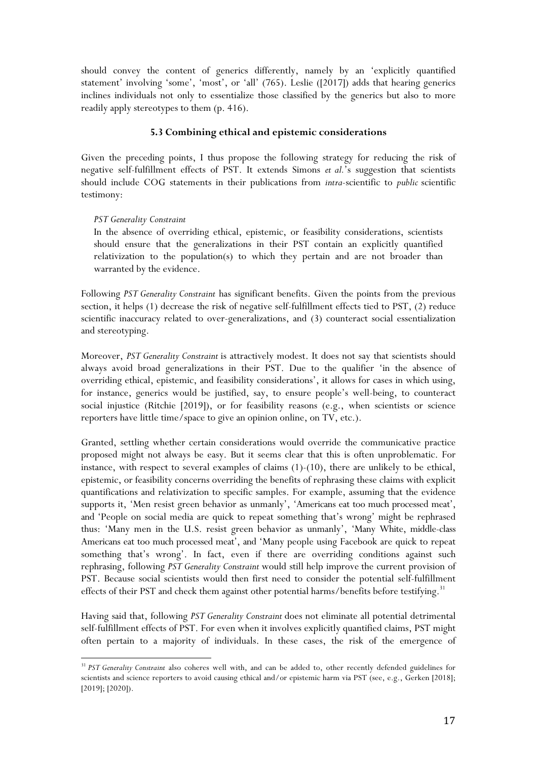should convey the content of generics differently, namely by an 'explicitly quantified statement' involving 'some', 'most', or 'all' (765). Leslie ([2017]) adds that hearing generics inclines individuals not only to essentialize those classified by the generics but also to more readily apply stereotypes to them (p. 416).

# **5.3 Combining ethical and epistemic considerations**

Given the preceding points, I thus propose the following strategy for reducing the risk of negative self-fulfillment effects of PST. It extends Simons *et al.*'s suggestion that scientists should include COG statements in their publications from *intra*-scientific to *public* scientific testimony:

## *PST Generality Constraint*

 

In the absence of overriding ethical, epistemic, or feasibility considerations, scientists should ensure that the generalizations in their PST contain an explicitly quantified relativization to the population(s) to which they pertain and are not broader than warranted by the evidence.

Following *PST Generality Constraint* has significant benefits. Given the points from the previous section, it helps (1) decrease the risk of negative self-fulfillment effects tied to PST, (2) reduce scientific inaccuracy related to over-generalizations, and (3) counteract social essentialization and stereotyping.

Moreover, *PST Generality Constraint* is attractively modest. It does not say that scientists should always avoid broad generalizations in their PST. Due to the qualifier 'in the absence of overriding ethical, epistemic, and feasibility considerations', it allows for cases in which using, for instance, generics would be justified, say, to ensure people's well-being, to counteract social injustice (Ritchie [2019]), or for feasibility reasons (e.g., when scientists or science reporters have little time/space to give an opinion online, on TV, etc.).

Granted, settling whether certain considerations would override the communicative practice proposed might not always be easy. But it seems clear that this is often unproblematic. For instance, with respect to several examples of claims  $(1)-(10)$ , there are unlikely to be ethical, epistemic, or feasibility concerns overriding the benefits of rephrasing these claims with explicit quantifications and relativization to specific samples. For example, assuming that the evidence supports it, 'Men resist green behavior as unmanly', 'Americans eat too much processed meat', and 'People on social media are quick to repeat something that's wrong' might be rephrased thus: 'Many men in the U.S. resist green behavior as unmanly', 'Many White, middle-class Americans eat too much processed meat', and 'Many people using Facebook are quick to repeat something that's wrong'. In fact, even if there are overriding conditions against such rephrasing, following *PST Generality Constraint* would still help improve the current provision of PST. Because social scientists would then first need to consider the potential self-fulfillment effects of their PST and check them against other potential harms/benefits before testifying.<sup>31</sup>

Having said that, following *PST Generality Constraint* does not eliminate all potential detrimental self-fulfillment effects of PST. For even when it involves explicitly quantified claims, PST might often pertain to a majority of individuals. In these cases, the risk of the emergence of

<sup>&</sup>lt;sup>31</sup> *PST Generality Constraint* also coheres well with, and can be added to, other recently defended guidelines for scientists and science reporters to avoid causing ethical and/or epistemic harm via PST (see, e.g., Gerken [2018]; [2019]; [2020]).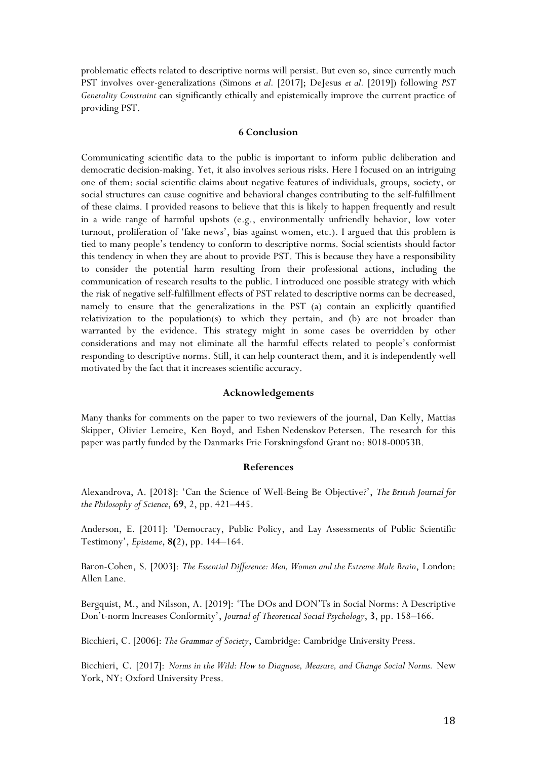problematic effects related to descriptive norms will persist. But even so, since currently much PST involves over-generalizations (Simons *et al.* [2017]; DeJesus *et al.* [2019]) following *PST Generality Constraint* can significantly ethically and epistemically improve the current practice of providing PST.

# **6 Conclusion**

Communicating scientific data to the public is important to inform public deliberation and democratic decision-making. Yet, it also involves serious risks. Here I focused on an intriguing one of them: social scientific claims about negative features of individuals, groups, society, or social structures can cause cognitive and behavioral changes contributing to the self-fulfillment of these claims. I provided reasons to believe that this is likely to happen frequently and result in a wide range of harmful upshots (e.g., environmentally unfriendly behavior, low voter turnout, proliferation of 'fake news', bias against women, etc.). I argued that this problem is tied to many people's tendency to conform to descriptive norms. Social scientists should factor this tendency in when they are about to provide PST. This is because they have a responsibility to consider the potential harm resulting from their professional actions, including the communication of research results to the public. I introduced one possible strategy with which the risk of negative self-fulfillment effects of PST related to descriptive norms can be decreased, namely to ensure that the generalizations in the PST (a) contain an explicitly quantified relativization to the population(s) to which they pertain, and (b) are not broader than warranted by the evidence. This strategy might in some cases be overridden by other considerations and may not eliminate all the harmful effects related to people's conformist responding to descriptive norms. Still, it can help counteract them, and it is independently well motivated by the fact that it increases scientific accuracy.

#### **Acknowledgements**

Many thanks for comments on the paper to two reviewers of the journal, Dan Kelly, Mattias Skipper, Olivier Lemeire, Ken Boyd, and Esben Nedenskov Petersen. The research for this paper was partly funded by the Danmarks Frie Forskningsfond Grant no: 8018-00053B.

#### **References**

Alexandrova, A. [2018]: 'Can the Science of Well-Being Be Objective?', *The British Journal for the Philosophy of Science*, **69**, 2, pp. 421–445.

Anderson, E. [2011]: 'Democracy, Public Policy, and Lay Assessments of Public Scientific Testimony', *Episteme*, **8(**2), pp. 144–164.

Baron-Cohen, S. [2003]: *The Essential Difference: Men, Women and the Extreme Male Brain*, London: Allen Lane.

Bergquist, M., and Nilsson, A. [2019]: 'The DOs and DON'Ts in Social Norms: A Descriptive Don't-norm Increases Conformity', *Journal of Theoretical Social Psychology*, **3**, pp. 158–166.

Bicchieri, C. [2006]: *The Grammar of Society*, Cambridge: Cambridge University Press.

Bicchieri, C. [2017]: *Norms in the Wild: How to Diagnose, Measure, and Change Social Norms.* New York, NY: Oxford University Press.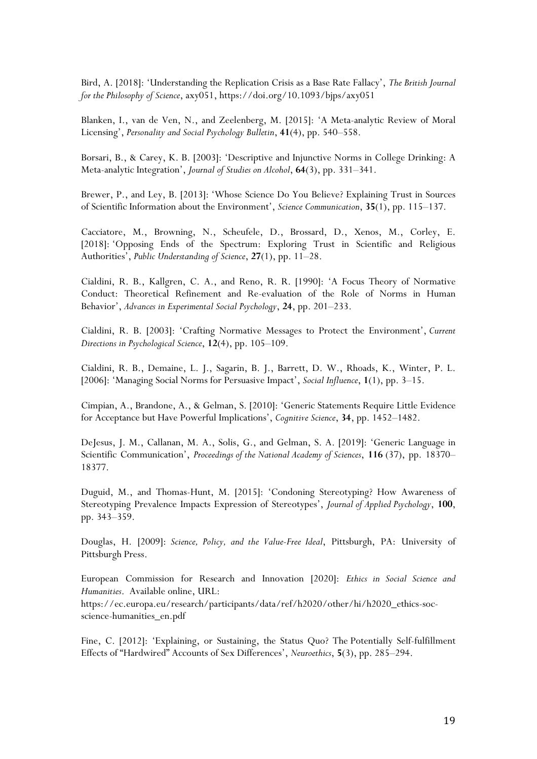Bird, A. [2018]: 'Understanding the Replication Crisis as a Base Rate Fallacy', *The British Journal for the Philosophy of Science*, axy051, https://doi.org/10.1093/bjps/axy051

Blanken, I., van de Ven, N., and Zeelenberg, M. [2015]: 'A Meta-analytic Review of Moral Licensing', *Personality and Social Psychology Bulletin*, **41**(4), pp. 540–558.

Borsari, B., & Carey, K. B. [2003]: 'Descriptive and Injunctive Norms in College Drinking: A Meta-analytic Integration', *Journal of Studies on Alcohol*, **64**(3), pp. 331–341.

Brewer, P., and Ley, B. [2013]: 'Whose Science Do You Believe? Explaining Trust in Sources of Scientific Information about the Environment', *Science Communication*, **35**(1), pp. 115–137.

Cacciatore, M., Browning, N., Scheufele, D., Brossard, D., Xenos, M., Corley, E. [2018]: 'Opposing Ends of the Spectrum: Exploring Trust in Scientific and Religious Authorities', *Public Understanding of Science*, **27**(1), pp. 11–28.

Cialdini, R. B., Kallgren, C. A., and Reno, R. R. [1990]: 'A Focus Theory of Normative Conduct: Theoretical Refinement and Re-evaluation of the Role of Norms in Human Behavior', *Advances in Experimental Social Psychology*, **24**, pp. 201–233.

Cialdini, R. B. [2003]: 'Crafting Normative Messages to Protect the Environment', *Current Directions in Psychological Science*, **12**(4), pp. 105–109.

Cialdini, R. B., Demaine, L. J., Sagarin, B. J., Barrett, D. W., Rhoads, K., Winter, P. L. [2006]: 'Managing Social Norms for Persuasive Impact', *Social Influence*, **1**(1), pp. 3–15.

Cimpian, A., Brandone, A., & Gelman, S. [2010]: 'Generic Statements Require Little Evidence for Acceptance but Have Powerful Implications', *Cognitive Science*, **34**, pp. 1452–1482.

DeJesus, J. M., Callanan, M. A., Solis, G., and Gelman, S. A. [2019]: 'Generic Language in Scientific Communication', *Proceedings of the National Academy of Sciences*, **116** (37), pp. 18370– 18377.

Duguid, M., and Thomas-Hunt, M. [2015]: 'Condoning Stereotyping? How Awareness of Stereotyping Prevalence Impacts Expression of Stereotypes', *Journal of Applied Psychology*, **100**, pp. 343–359.

Douglas, H. [2009]: *Science, Policy, and the Value-Free Ideal*, Pittsburgh, PA: University of Pittsburgh Press.

European Commission for Research and Innovation [2020]: *Ethics in Social Science and Humanities*. Available online, URL:

https://ec.europa.eu/research/participants/data/ref/h2020/other/hi/h2020\_ethics-socscience-humanities\_en.pdf

Fine, C. [2012]: 'Explaining, or Sustaining, the Status Quo? The Potentially Self-fulfillment Effects of "Hardwired" Accounts of Sex Differences', *Neuroethics*, **5**(3), pp. 285–294.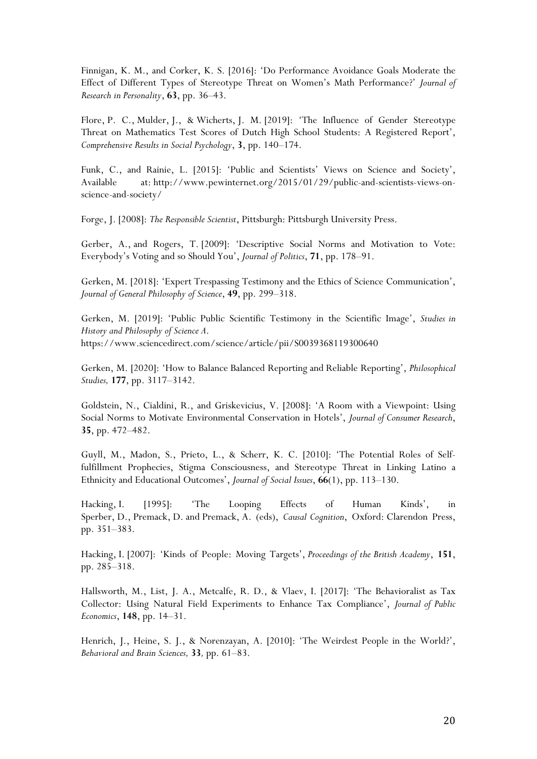Finnigan, K. M., and Corker, K. S. [2016]: 'Do Performance Avoidance Goals Moderate the Effect of Different Types of Stereotype Threat on Women's Math Performance?' *Journal of Research in Personality*, **63**, pp. 36–43.

Flore, P. C., Mulder, J., & Wicherts, J. M. [2019]: 'The Influence of Gender Stereotype Threat on Mathematics Test Scores of Dutch High School Students: A Registered Report', *Comprehensive Results in Social Psychology*, **3**, pp. 140–174.

Funk, C., and Rainie, L. [2015]: 'Public and Scientists' Views on Science and Society', Available at: http://www.pewinternet.org/2015/01/29/public-and-scientists-views-onscience-and-society/

Forge, J. [2008]: *The Responsible Scientist*, Pittsburgh: Pittsburgh University Press.

Gerber, A., and Rogers, T. [2009]: 'Descriptive Social Norms and Motivation to Vote: Everybody's Voting and so Should You', *Journal of Politics*, **71**, pp. 178–91.

Gerken, M. [2018]: 'Expert Trespassing Testimony and the Ethics of Science Communication', *Journal of General Philosophy of Science*, **49**, pp. 299–318.

Gerken, M. [2019]: 'Public Public Scientific Testimony in the Scientific Image', *Studies in History and Philosophy of Science A*. https://www.sciencedirect.com/science/article/pii/S0039368119300640

Gerken, M. [2020]: 'How to Balance Balanced Reporting and Reliable Reporting', *Philosophical Studies,* **177**, pp. 3117–3142.

Goldstein, N., Cialdini, R., and Griskevicius, V. [2008]: 'A Room with a Viewpoint: Using Social Norms to Motivate Environmental Conservation in Hotels', *Journal of Consumer Research*, **35**, pp. 472–482.

Guyll, M., Madon, S., Prieto, L., & Scherr, K. C. [2010]: 'The Potential Roles of Selffulfillment Prophecies, Stigma Consciousness, and Stereotype Threat in Linking Latino a Ethnicity and Educational Outcomes', *Journal of Social Issues*, **66**(1), pp. 113–130.

Hacking, I. [1995]: 'The Looping Effects of Human Kinds', in Sperber, D., Premack, D. and Premack, A. (eds), *Causal Cognition*, Oxford: Clarendon Press, pp. 351–383.

Hacking, I. [2007]: 'Kinds of People: Moving Targets', *Proceedings of the British Academy*, **151**, pp. 285–318.

Hallsworth, M., List, J. A., Metcalfe, R. D., & Vlaev, I. [2017]: 'The Behavioralist as Tax Collector: Using Natural Field Experiments to Enhance Tax Compliance', *Journal of Public Economics*, **148**, pp. 14–31.

Henrich, J., Heine, S. J., & Norenzayan, A. [2010]: 'The Weirdest People in the World?', *Behavioral and Brain Sciences,* **33***,* pp. 61–83.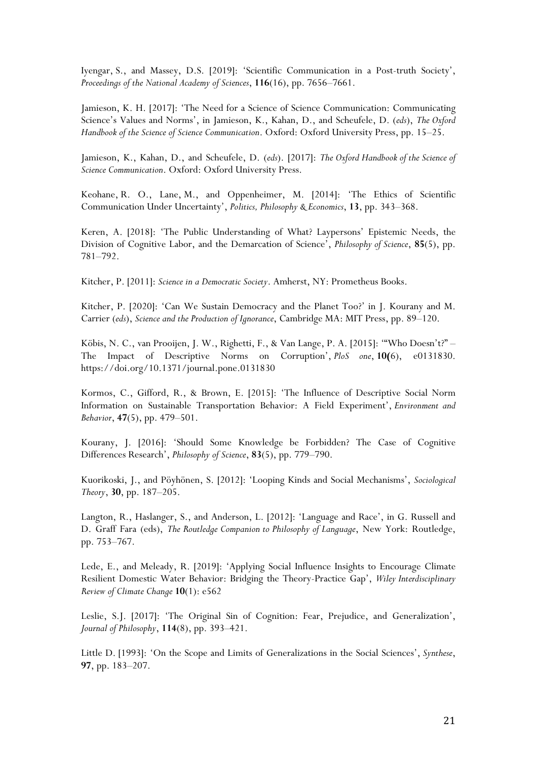Iyengar, S., and Massey, D.S. [2019]: 'Scientific Communication in a Post-truth Society', *Proceedings of the National Academy of Sciences*, **116**(16), pp. 7656–7661.

Jamieson, K. H. [2017]: 'The Need for a Science of Science Communication: Communicating Science's Values and Norms', in Jamieson, K., Kahan, D., and Scheufele, D. (*eds*), *The Oxford Handbook of the Science of Science Communication*. Oxford: Oxford University Press, pp. 15–25.

Jamieson, K., Kahan, D., and Scheufele, D. (*eds*). [2017]: *The Oxford Handbook of the Science of Science Communication*. Oxford: Oxford University Press.

Keohane, R. O., Lane, M., and Oppenheimer, M. [2014]: 'The Ethics of Scientific Communication Under Uncertainty', *Politics, Philosophy & Economics*, **13**, pp. 343–368.

Keren, A. [2018]: 'The Public Understanding of What? Laypersons' Epistemic Needs, the Division of Cognitive Labor, and the Demarcation of Science', *Philosophy of Science*, **85**(5), pp. 781–792.

Kitcher, P. [2011]: *Science in a Democratic Society*. Amherst, NY: Prometheus Books.

Kitcher, P. [2020]: 'Can We Sustain Democracy and the Planet Too?' in J. Kourany and M. Carrier (*eds*), *Science and the Production of Ignorance*, Cambridge MA: MIT Press, pp. 89–120.

Köbis, N. C., van Prooijen, J. W., Righetti, F., & Van Lange, P. A. [2015]: '"Who Doesn't?" – The Impact of Descriptive Norms on Corruption', *PloS one*, **10(**6), e0131830. https://doi.org/10.1371/journal.pone.0131830

Kormos, C., Gifford, R., & Brown, E. [2015]: 'The Influence of Descriptive Social Norm Information on Sustainable Transportation Behavior: A Field Experiment', *Environment and Behavior*, **47**(5), pp. 479–501.

Kourany, J. [2016]: 'Should Some Knowledge be Forbidden? The Case of Cognitive Differences Research', *Philosophy of Science*, **83**(5), pp. 779–790.

Kuorikoski, J., and Pöyhönen, S. [2012]: 'Looping Kinds and Social Mechanisms', *Sociological Theory*, **30**, pp. 187–205.

Langton, R., Haslanger, S., and Anderson, L. [2012]: 'Language and Race', in G. Russell and D. Graff Fara (eds), *The Routledge Companion to Philosophy of Language*, New York: Routledge, pp. 753–767.

Lede, E., and Meleady, R. [2019]: 'Applying Social Influence Insights to Encourage Climate Resilient Domestic Water Behavior: Bridging the Theory-Practice Gap', *Wiley Interdisciplinary Review of Climate Change* **10**(1): e562

Leslie, S.J. [2017]: 'The Original Sin of Cognition: Fear, Prejudice, and Generalization', *Journal of Philosophy*, **114**(8), pp. 393–421.

Little D. [1993]: 'On the Scope and Limits of Generalizations in the Social Sciences', *Synthese*, **97**, pp. 183–207.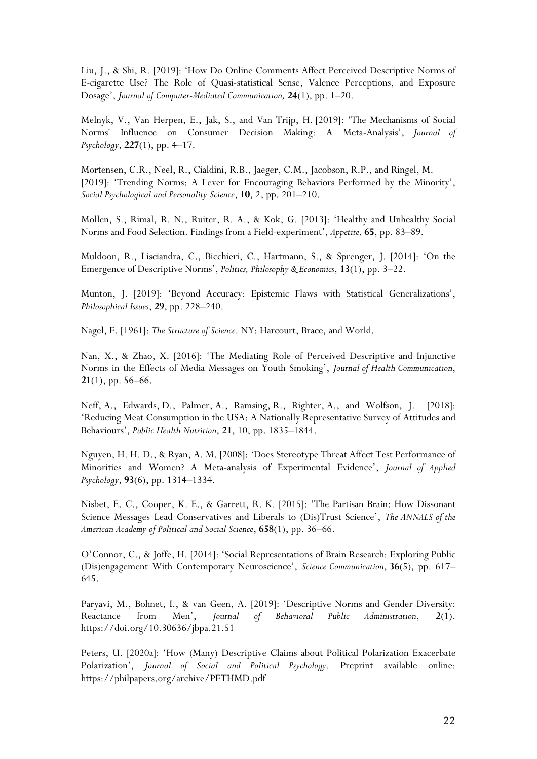Liu, J., & Shi, R. [2019]: 'How Do Online Comments Affect Perceived Descriptive Norms of E-cigarette Use? The Role of Quasi-statistical Sense, Valence Perceptions, and Exposure Dosage', *Journal of Computer-Mediated Communication,* **24**(1), pp. 1–20.

Melnyk, V., Van Herpen, E., Jak, S., and Van Trijp, H. [2019]: 'The Mechanisms of Social Norms' Influence on Consumer Decision Making: A Meta-Analysis', *Journal of Psychology*, **227**(1), pp. 4–17.

Mortensen, C.R., Neel, R., Cialdini, R.B., Jaeger, C.M., Jacobson, R.P., and Ringel, M. [2019]: 'Trending Norms: A Lever for Encouraging Behaviors Performed by the Minority', *Social Psychological and Personality Science*, **10**, 2, pp. 201–210.

Mollen, S., Rimal, R. N., Ruiter, R. A., & Kok, G. [2013]: 'Healthy and Unhealthy Social Norms and Food Selection. Findings from a Field-experiment', *Appetite,* **65**, pp. 83–89.

Muldoon, R., Lisciandra, C., Bicchieri, C., Hartmann, S., & Sprenger, J. [2014]: 'On the Emergence of Descriptive Norms', *Politics, Philosophy & Economics*, **13**(1), pp. 3–22.

Munton, J. [2019]: 'Beyond Accuracy: Epistemic Flaws with Statistical Generalizations', *Philosophical Issues*, **29**, pp. 228–240.

Nagel, E. [1961]: *The Structure of Science*. NY: Harcourt, Brace, and World.

Nan, X., & Zhao, X. [2016]: 'The Mediating Role of Perceived Descriptive and Injunctive Norms in the Effects of Media Messages on Youth Smoking', *Journal of Health Communication*, **21**(1), pp. 56–66.

Neff, A., Edwards, D., Palmer, A., Ramsing, R., Righter, A., and Wolfson, J. [2018]: 'Reducing Meat Consumption in the USA: A Nationally Representative Survey of Attitudes and Behaviours', *Public Health Nutrition*, **21**, 10, pp. 1835–1844.

Nguyen, H. H. D., & Ryan, A. M. [2008]: 'Does Stereotype Threat Affect Test Performance of Minorities and Women? A Meta-analysis of Experimental Evidence', *Journal of Applied Psychology*, **93**(6), pp. 1314–1334.

Nisbet, E. C., Cooper, K. E., & Garrett, R. K. [2015]: 'The Partisan Brain: How Dissonant Science Messages Lead Conservatives and Liberals to (Dis)Trust Science', *The ANNALS of the American Academy of Political and Social Science*, **658**(1), pp. 36–66.

O'Connor, C., & Joffe, H. [2014]: 'Social Representations of Brain Research: Exploring Public (Dis)engagement With Contemporary Neuroscience', *Science Communication*, **36**(5), pp. 617– 645.

Paryavi, M., Bohnet, I., & van Geen, A. [2019]: 'Descriptive Norms and Gender Diversity: Reactance from Men', *Journal of Behavioral Public Administration*, **2**(1). https://doi.org/10.30636/jbpa.21.51

Peters, U. [2020a]: 'How (Many) Descriptive Claims about Political Polarization Exacerbate Polarization', *Journal of Social and Political Psychology*. Preprint available online: https://philpapers.org/archive/PETHMD.pdf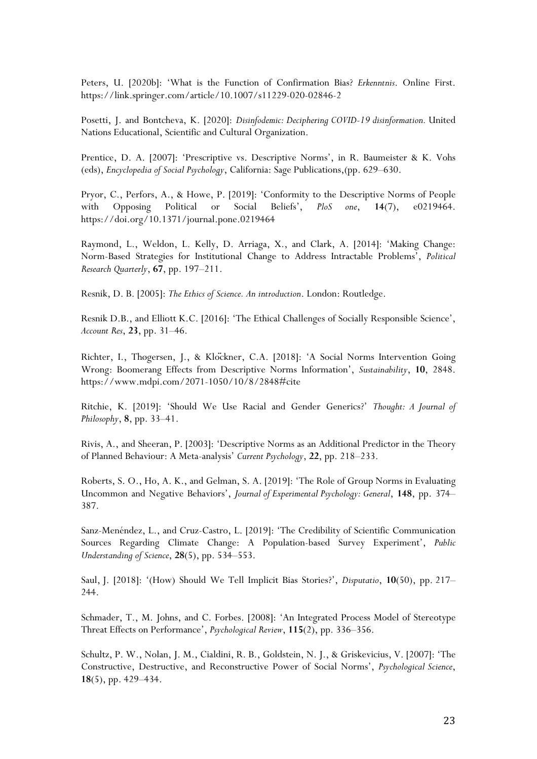Peters, U. [2020b]: 'What is the Function of Confirmation Bias? *Erkenntnis*. Online First. https://link.springer.com/article/10.1007/s11229-020-02846-2

Posetti, J. and Bontcheva, K. [2020]: *Disinfodemic: Deciphering COVID-19 disinformation.* United Nations Educational, Scientific and Cultural Organization.

Prentice, D. A. [2007]: 'Prescriptive vs. Descriptive Norms', in R. Baumeister & K. Vohs (eds), *Encyclopedia of Social Psychology*, California: Sage Publications,(pp. 629–630.

Pryor, C., Perfors, A., & Howe, P. [2019]: 'Conformity to the Descriptive Norms of People with Opposing Political or Social Beliefs', *PloS one*, **14**(7), e0219464. https://doi.org/10.1371/journal.pone.0219464

Raymond, L., Weldon, L. Kelly, D. Arriaga, X., and Clark, A. [2014]: 'Making Change: Norm-Based Strategies for Institutional Change to Address Intractable Problems', *Political Research Quarterly*, **67**, pp. 197–211.

Resnik, D. B. [2005]: *The Ethics of Science. An introduction*. London: Routledge.

Resnik D.B., and Elliott K.C. [2016]: 'The Ethical Challenges of Socially Responsible Science', *Account Res*, **23**, pp. 31–46.

Richter, I., Thøgersen, J., & Klöckner, C.A. [2018]: 'A Social Norms Intervention Going Wrong: Boomerang Effects from Descriptive Norms Information', *Sustainability*, **10**, 2848. https://www.mdpi.com/2071-1050/10/8/2848#cite

Ritchie, K. [2019]: 'Should We Use Racial and Gender Generics?' *Thought: A Journal of Philosophy*, **8**, pp. 33–41.

Rivis, A., and Sheeran, P. [2003]: 'Descriptive Norms as an Additional Predictor in the Theory of Planned Behaviour: A Meta-analysis' *Current Psychology*, **22**, pp. 218–233.

Roberts, S. O., Ho, A. K., and Gelman, S. A. [2019]: 'The Role of Group Norms in Evaluating Uncommon and Negative Behaviors', *Journal of Experimental Psychology: General*, **148**, pp. 374– 387.

Sanz-Menéndez, L., and Cruz-Castro, L. [2019]: 'The Credibility of Scientific Communication Sources Regarding Climate Change: A Population-based Survey Experiment', *Public Understanding of Science*, **28**(5), pp. 534–553.

Saul, J. [2018]: '(How) Should We Tell Implicit Bias Stories?', *Disputatio*, **10**(50), pp. 217– 244.

Schmader, T., M. Johns, and C. Forbes. [2008]: 'An Integrated Process Model of Stereotype Threat Effects on Performance', *Psychological Review*, **115**(2), pp. 336–356.

Schultz, P. W., Nolan, J. M., Cialdini, R. B., Goldstein, N. J., & Griskevicius, V. [2007]: 'The Constructive, Destructive, and Reconstructive Power of Social Norms', *Psychological Science*, **18**(5), pp. 429–434.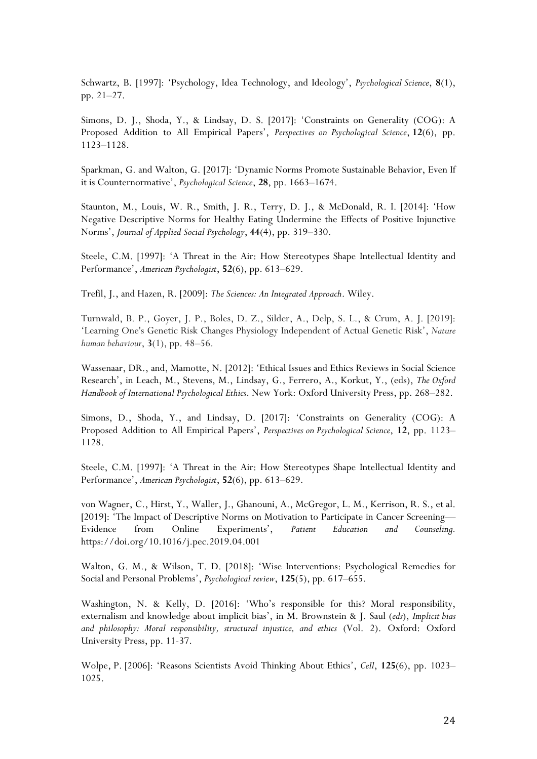Schwartz, B. [1997]: 'Psychology, Idea Technology, and Ideology', *Psychological Science*, **8**(1), pp. 21–27.

Simons, D. J., Shoda, Y., & Lindsay, D. S. [2017]: 'Constraints on Generality (COG): A Proposed Addition to All Empirical Papers', *Perspectives on Psychological Science*, **12**(6), pp. 1123–1128.

Sparkman, G. and Walton, G. [2017]: 'Dynamic Norms Promote Sustainable Behavior, Even If it is Counternormative', *Psychological Science*, **28**, pp. 1663–1674.

Staunton, M., Louis, W. R., Smith, J. R., Terry, D. J., & McDonald, R. I. [2014]: 'How Negative Descriptive Norms for Healthy Eating Undermine the Effects of Positive Injunctive Norms', *Journal of Applied Social Psychology*, **44**(4), pp. 319–330.

Steele, C.M. [1997]: 'A Threat in the Air: How Stereotypes Shape Intellectual Identity and Performance', *American Psychologist*, **52**(6), pp. 613–629.

Trefil, J., and Hazen, R. [2009]: *The Sciences: An Integrated Approach*. Wiley.

Turnwald, B. P., Goyer, J. P., Boles, D. Z., Silder, A., Delp, S. L., & Crum, A. J. [2019]: 'Learning One's Genetic Risk Changes Physiology Independent of Actual Genetic Risk', *Nature human behaviour*, **3**(1), pp. 48–56.

Wassenaar, DR., and, Mamotte, N. [2012]: 'Ethical Issues and Ethics Reviews in Social Science Research', in Leach, M., Stevens, M., Lindsay, G., Ferrero, A., Korkut, Y., (eds), *The Oxford Handbook of International Psychological Ethics*. New York: Oxford University Press, pp. 268–282.

Simons, D., Shoda, Y., and Lindsay, D. [2017]: 'Constraints on Generality (COG): A Proposed Addition to All Empirical Papers', *Perspectives on Psychological Science*, **12**, pp. 1123– 1128.

Steele, C.M. [1997]: 'A Threat in the Air: How Stereotypes Shape Intellectual Identity and Performance', *American Psychologist*, **52**(6), pp. 613–629.

von Wagner, C., Hirst, Y., Waller, J., Ghanouni, A., McGregor, L. M., Kerrison, R. S., et al. [2019]: 'The Impact of Descriptive Norms on Motivation to Participate in Cancer Screening— Evidence from Online Experiments', *Patient Education and Counseling.* https://doi.org/10.1016/j.pec.2019.04.001

Walton, G. M., & Wilson, T. D. [2018]: 'Wise Interventions: Psychological Remedies for Social and Personal Problems', *Psychological review*, **125**(5), pp. 617–655.

Washington, N. & Kelly, D. [2016]: 'Who's responsible for this? Moral responsibility, externalism and knowledge about implicit bias', in M. Brownstein & J. Saul (*eds*), *Implicit bias and philosophy: Moral responsibility, structural injustice, and ethics* (Vol. 2). Oxford: Oxford University Press, pp. 11-37.

Wolpe, P. [2006]: 'Reasons Scientists Avoid Thinking About Ethics', *Cell*, **125**(6), pp. 1023– 1025.